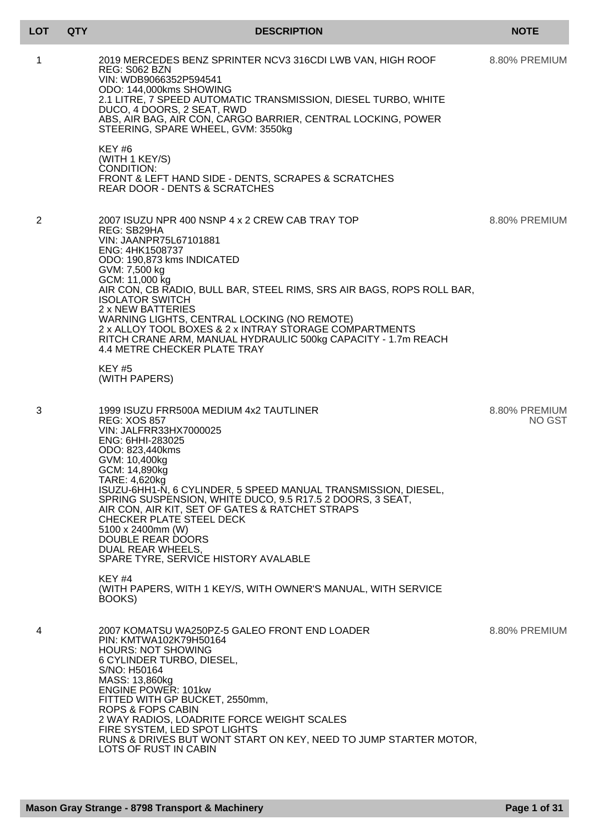| <b>LOT</b> | <b>QTY</b> | <b>DESCRIPTION</b>                                                                                                                                                                                                                                                                                                                                                                                                                                                                                             | <b>NOTE</b>                    |
|------------|------------|----------------------------------------------------------------------------------------------------------------------------------------------------------------------------------------------------------------------------------------------------------------------------------------------------------------------------------------------------------------------------------------------------------------------------------------------------------------------------------------------------------------|--------------------------------|
| 1          |            | 2019 MERCEDES BENZ SPRINTER NCV3 316CDI LWB VAN, HIGH ROOF<br>REG: S062 BZN<br>VIN: WDB9066352P594541<br>ODO: 144,000kms SHOWING<br>2.1 LITRE, 7 SPEED AUTOMATIC TRANSMISSION, DIESEL TURBO, WHITE<br>DUCO, 4 DOORS, 2 SEAT, RWD<br>ABS, AIR BAG, AIR CON, CARGO BARRIER, CENTRAL LOCKING, POWER<br>STEERING, SPARE WHEEL, GVM: 3550kg                                                                                                                                                                         | 8.80% PREMIUM                  |
|            |            | KEY#6<br>(WITH 1 KEY/S)<br><b>CONDITION:</b><br>FRONT & LEFT HAND SIDE - DENTS, SCRAPES & SCRATCHES<br><b>REAR DOOR - DENTS &amp; SCRATCHES</b>                                                                                                                                                                                                                                                                                                                                                                |                                |
| 2          |            | 2007 ISUZU NPR 400 NSNP 4 x 2 CREW CAB TRAY TOP<br>REG: SB29HA<br>VIN: JAANPR75L67101881<br>ENG: 4HK1508737<br>ODO: 190,873 kms INDICATED<br>GVM: 7,500 kg<br>GCM: 11,000 kg<br>AIR CON, CB RADIO, BULL BAR, STEEL RIMS, SRS AIR BAGS, ROPS ROLL BAR,<br><b>ISOLATOR SWITCH</b><br>2 x NEW BATTERIES<br>WARNING LIGHTS, CENTRAL LOCKING (NO REMOTE)<br>2 x ALLOY TOOL BOXES & 2 x INTRAY STORAGE COMPARTMENTS<br>RITCH CRANE ARM, MANUAL HYDRAULIC 500kg CAPACITY - 1.7m REACH<br>4.4 METRE CHECKER PLATE TRAY | 8.80% PREMIUM                  |
|            |            | <b>KEY #5</b><br>(WITH PAPERS)                                                                                                                                                                                                                                                                                                                                                                                                                                                                                 |                                |
| 3          |            | 1999 ISUZU FRR500A MEDIUM 4x2 TAUTLINER<br><b>REG: XOS 857</b><br>VIN: JALFRR33HX7000025<br>ENG: 6HHI-283025<br>ODO: 823,440kms<br>GVM: 10,400kg<br>GCM: 14,890kg<br>TARE: 4,620kg<br>ISUZU-6HH1-N, 6 CYLINDER, 5 SPEED MANUAL TRANSMISSION, DIESEL,<br>SPRING SUSPENSION, WHITE DUCO, 9.5 R17.5 2 DOORS, 3 SEAT,<br>AIR CON, AIR KIT, SET OF GATES & RATCHET STRAPS<br>CHECKER PLATE STEEL DECK<br>5100 x 2400mm (W)<br>DOUBLE REAR DOORS<br>DUAL REAR WHEELS,<br>SPARE TYRE, SERVICE HISTORY AVALABLE        | 8.80% PREMIUM<br><b>NO GST</b> |
|            |            | KEY #4<br>(WITH PAPERS, WITH 1 KEY/S, WITH OWNER'S MANUAL, WITH SERVICE<br>BOOKS)                                                                                                                                                                                                                                                                                                                                                                                                                              |                                |
| 4          |            | 2007 KOMATSU WA250PZ-5 GALEO FRONT END LOADER<br>PIN: KMTWA102K79H50164<br><b>HOURS: NOT SHOWING</b><br>6 CYLINDER TURBO, DIESEL,<br>S/NO: H50164<br>MASS: 13,860kg<br><b>ENGINE POWER: 101kw</b><br>FITTED WITH GP BUCKET, 2550mm,<br>ROPS & FOPS CABIN<br>2 WAY RADIOS, LOADRITE FORCE WEIGHT SCALES<br>FIRE SYSTEM, LED SPOT LIGHTS<br>RUNS & DRIVES BUT WONT START ON KEY, NEED TO JUMP STARTER MOTOR,<br>LOTS OF RUST IN CABIN                                                                            | 8.80% PREMIUM                  |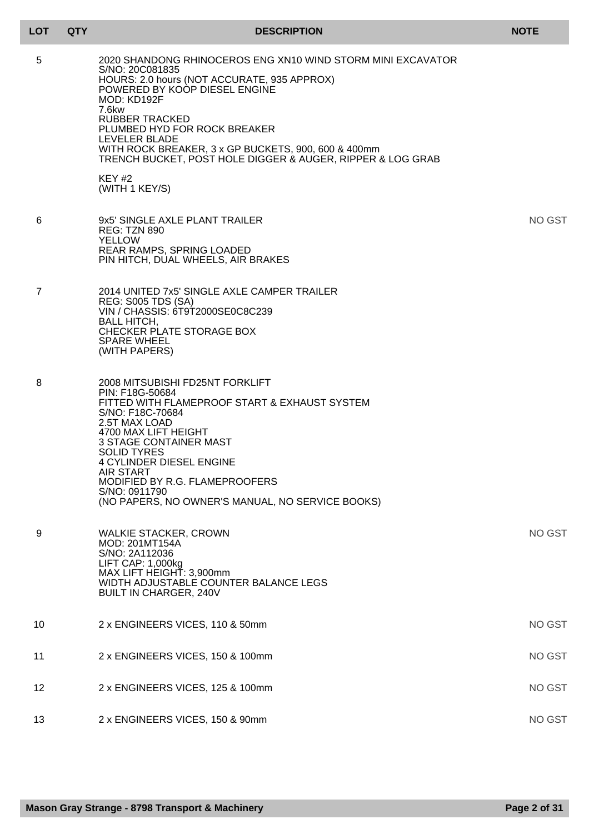| <b>LOT</b> | <b>QTY</b> | <b>DESCRIPTION</b>                                                                                                                                                                                                                                                                                                                                                                      | <b>NOTE</b> |
|------------|------------|-----------------------------------------------------------------------------------------------------------------------------------------------------------------------------------------------------------------------------------------------------------------------------------------------------------------------------------------------------------------------------------------|-------------|
| 5          |            | 2020 SHANDONG RHINOCEROS ENG XN10 WIND STORM MINI EXCAVATOR<br>S/NO: 20C081835<br>HOURS: 2.0 hours (NOT ACCURATE, 935 APPROX)<br>POWERED BY KOOP DIESEL ENGINE<br>MOD: KD192F<br>7.6kw<br>RUBBER TRACKED<br>PLUMBED HYD FOR ROCK BREAKER<br>LEVELER BLADE<br>WITH ROCK BREAKER, 3 x GP BUCKETS, 900, 600 & 400mm<br>TRENCH BUCKET, POST HOLE DIGGER & AUGER, RIPPER & LOG GRAB<br>KEY#2 |             |
|            |            | (WITH 1 KEY/S)                                                                                                                                                                                                                                                                                                                                                                          |             |
| 6          |            | 9x5' SINGLE AXLE PLANT TRAILER<br><b>REG: TZN 890</b><br><b>YELLOW</b><br><b>REAR RAMPS, SPRING LOADED</b><br>PIN HITCH, DUAL WHEELS, AIR BRAKES                                                                                                                                                                                                                                        | NO GST      |
| 7          |            | 2014 UNITED 7x5' SINGLE AXLE CAMPER TRAILER<br><b>REG: S005 TDS (SA)</b><br>VIN / CHASSIS: 6T9T2000SE0C8C239<br><b>BALL HITCH,</b><br>CHECKER PLATE STORAGE BOX<br><b>SPARE WHEEL</b><br>(WITH PAPERS)                                                                                                                                                                                  |             |
| 8          |            | 2008 MITSUBISHI FD25NT FORKLIFT<br>PIN: F18G-50684<br>FITTED WITH FLAMEPROOF START & EXHAUST SYSTEM<br>S/NO: F18C-70684<br>2.5T MAX LOAD<br>4700 MAX LIFT HEIGHT<br><b>3 STAGE CONTAINER MAST</b><br><b>SOLID TYRES</b><br><b>4 CYLINDER DIESEL ENGINE</b><br>AIR START<br>MODIFIED BY R.G. FLAMEPROOFERS<br>S/NO: 0911790<br>(NO PAPERS, NO OWNER'S MANUAL, NO SERVICE BOOKS)          |             |
| 9          |            | <b>WALKIE STACKER, CROWN</b><br>MOD: 201MT154A<br>S/NO: 2A112036<br>LIFT CAP: 1,000kg<br>MAX LIFT HEIGHT: 3,900mm<br>WIDTH ADJUSTABLE COUNTER BALANCE LEGS<br><b>BUILT IN CHARGER, 240V</b>                                                                                                                                                                                             | NO GST      |
| 10         |            | 2 x ENGINEERS VICES, 110 & 50mm                                                                                                                                                                                                                                                                                                                                                         | NO GST      |
| 11         |            | 2 x ENGINEERS VICES, 150 & 100mm                                                                                                                                                                                                                                                                                                                                                        | NO GST      |
| 12         |            | 2 x ENGINEERS VICES, 125 & 100mm                                                                                                                                                                                                                                                                                                                                                        | NO GST      |
| 13         |            | 2 x ENGINEERS VICES, 150 & 90mm                                                                                                                                                                                                                                                                                                                                                         | NO GST      |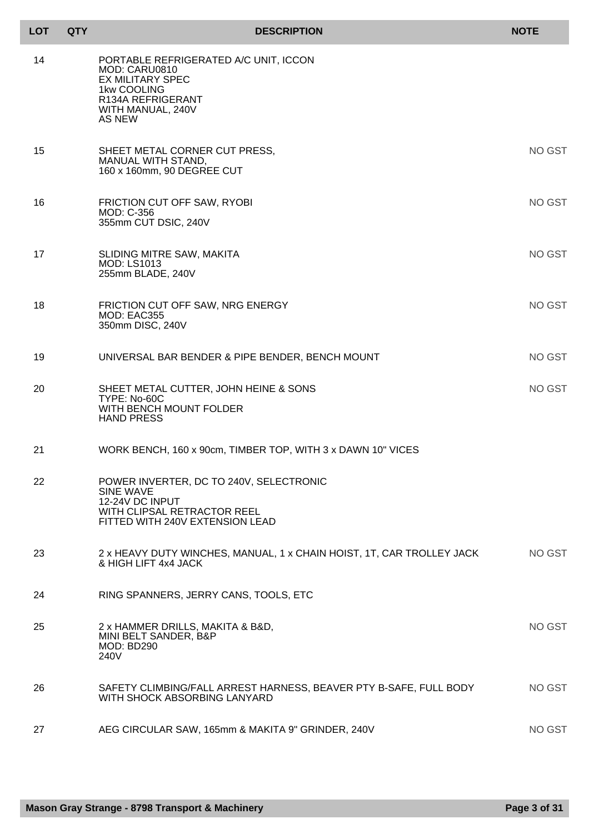| <b>LOT</b> | <b>QTY</b> |                                                                                                                                                      | <b>DESCRIPTION</b>                                                    | <b>NOTE</b>   |
|------------|------------|------------------------------------------------------------------------------------------------------------------------------------------------------|-----------------------------------------------------------------------|---------------|
| 14         |            | PORTABLE REFRIGERATED A/C UNIT, ICCON<br>MOD: CARU0810<br><b>EX MILITARY SPEC</b><br>1kw COOLING<br>R134A REFRIGERANT<br>WITH MANUAL, 240V<br>AS NEW |                                                                       |               |
| 15         |            | SHEET METAL CORNER CUT PRESS,<br><b>MANUAL WITH STAND.</b><br>160 x 160mm, 90 DEGREE CUT                                                             |                                                                       | NO GST        |
| 16         |            | FRICTION CUT OFF SAW, RYOBI<br>MOD: C-356<br>355mm CUT DSIC, 240V                                                                                    |                                                                       | NO GST        |
| 17         |            | SLIDING MITRE SAW, MAKITA<br><b>MOD: LS1013</b><br>255mm BLADE, 240V                                                                                 |                                                                       | NO GST        |
| 18         |            | FRICTION CUT OFF SAW, NRG ENERGY<br>MOD: EAC355<br>350mm DISC, 240V                                                                                  |                                                                       | NO GST        |
| 19         |            | UNIVERSAL BAR BENDER & PIPE BENDER, BENCH MOUNT                                                                                                      |                                                                       | NO GST        |
| 20         |            | SHEET METAL CUTTER, JOHN HEINE & SONS<br>TYPE: No-60C<br>WITH BENCH MOUNT FOLDER<br><b>HAND PRESS</b>                                                |                                                                       | <b>NO GST</b> |
| 21         |            |                                                                                                                                                      | WORK BENCH, 160 x 90cm, TIMBER TOP, WITH 3 x DAWN 10" VICES           |               |
| 22         |            | POWER INVERTER, DC TO 240V, SELECTRONIC<br><b>SINE WAVE</b><br>12-24V DC INPUT<br>WITH CLIPSAL RETRACTOR REEL<br>FITTED WITH 240V EXTENSION LEAD     |                                                                       |               |
| 23         |            | & HIGH LIFT 4x4 JACK                                                                                                                                 | 2 x HEAVY DUTY WINCHES, MANUAL, 1 x CHAIN HOIST, 1T, CAR TROLLEY JACK | NO GST        |
| 24         |            | RING SPANNERS, JERRY CANS, TOOLS, ETC                                                                                                                |                                                                       |               |
| 25         |            | 2 x HAMMER DRILLS, MAKITA & B&D,<br>MINI BELT SANDER, B&P<br><b>MOD: BD290</b><br>240V                                                               |                                                                       | NO GST        |
| 26         |            | WITH SHOCK ABSORBING LANYARD                                                                                                                         | SAFETY CLIMBING/FALL ARREST HARNESS, BEAVER PTY B-SAFE, FULL BODY     | NO GST        |
| 27         |            | AEG CIRCULAR SAW, 165mm & MAKITA 9" GRINDER, 240V                                                                                                    |                                                                       | NO GST        |

Г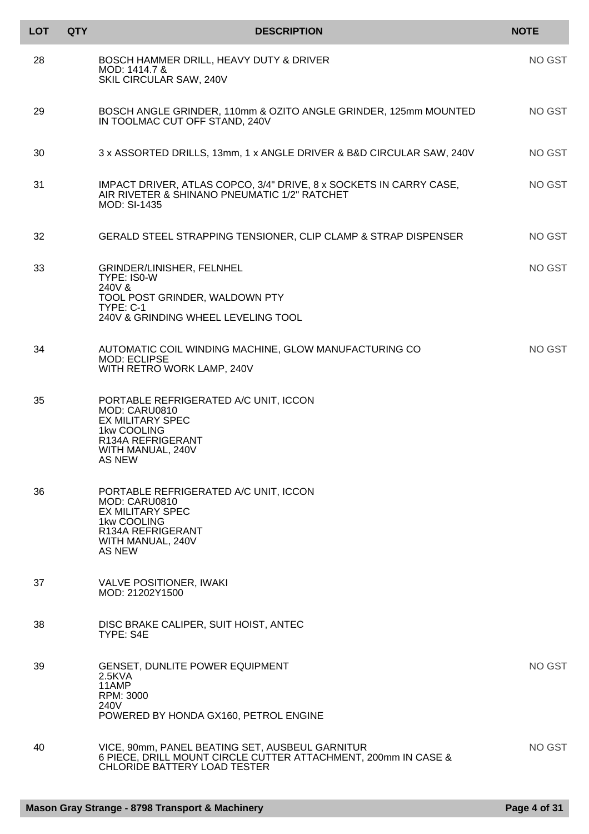| <b>LOT</b> | <b>QTY</b> | <b>DESCRIPTION</b>                                                                                                                                          | <b>NOTE</b> |
|------------|------------|-------------------------------------------------------------------------------------------------------------------------------------------------------------|-------------|
| 28         |            | BOSCH HAMMER DRILL, HEAVY DUTY & DRIVER<br>MOD: 1414.7 &<br>SKIL CIRCULAR SAW, 240V                                                                         | NO GST      |
| 29         |            | BOSCH ANGLE GRINDER, 110mm & OZITO ANGLE GRINDER, 125mm MOUNTED<br>IN TOOLMAC CUT OFF STAND, 240V                                                           | NO GST      |
| 30         |            | 3 x ASSORTED DRILLS, 13mm, 1 x ANGLE DRIVER & B&D CIRCULAR SAW, 240V                                                                                        | NO GST      |
| 31         |            | IMPACT DRIVER, ATLAS COPCO, 3/4" DRIVE, 8 x SOCKETS IN CARRY CASE,<br>AIR RIVETER & SHINANO PNEUMATIC 1/2" RATCHET<br><b>MOD: SI-1435</b>                   | NO GST      |
| 32         |            | GERALD STEEL STRAPPING TENSIONER, CLIP CLAMP & STRAP DISPENSER                                                                                              | NO GST      |
| 33         |            | GRINDER/LINISHER, FELNHEL<br>TYPE: IS0-W<br>240V &                                                                                                          | NO GST      |
|            |            | TOOL POST GRINDER, WALDOWN PTY<br>TYPE: C-1                                                                                                                 |             |
|            |            | 240V & GRINDING WHEEL LEVELING TOOL                                                                                                                         |             |
| 34         |            | AUTOMATIC COIL WINDING MACHINE, GLOW MANUFACTURING CO<br><b>MOD: ECLIPSE</b><br>WITH RETRO WORK LAMP, 240V                                                  | NO GST      |
| 35         |            | PORTABLE REFRIGERATED A/C UNIT, ICCON<br>MOD: CARU0810<br><b>EX MILITARY SPEC</b><br>1kw COOLING<br>R134A REFRIGERANT<br>WITH MANUAL, 240V<br><b>AS NEW</b> |             |
| 36         |            | PORTABLE REFRIGERATED A/C UNIT, ICCON<br>MOD: CARU0810<br><b>EX MILITARY SPEC</b><br>1kw COOLING<br>R134A REFRIGERANT<br>WITH MANUAL, 240V<br>AS NEW        |             |
| 37         |            | <b>VALVE POSITIONER, IWAKI</b><br>MOD: 21202Y1500                                                                                                           |             |
| 38         |            | DISC BRAKE CALIPER, SUIT HOIST, ANTEC<br>TYPE: S4E                                                                                                          |             |
| 39         |            | <b>GENSET, DUNLITE POWER EQUIPMENT</b><br>2.5KVA<br>11AMP<br>RPM: 3000<br>240V<br>POWERED BY HONDA GX160, PETROL ENGINE                                     | NO GST      |
| 40         |            | VICE, 90mm, PANEL BEATING SET, AUSBEUL GARNITUR<br>6 PIECE, DRILL MOUNT CIRCLE CUTTER ATTACHMENT, 200mm IN CASE &<br><b>CHLORIDE BATTERY LOAD TESTER</b>    | NO GST      |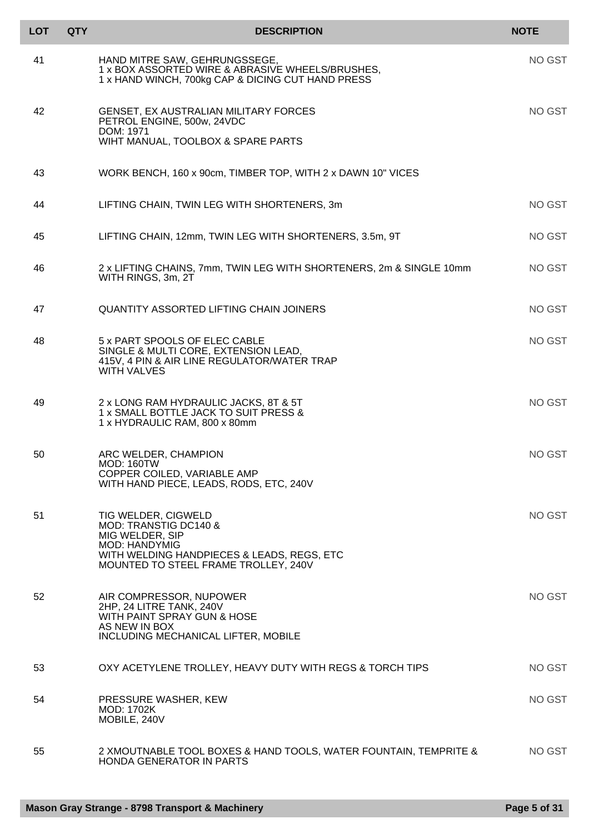| <b>LOT</b> | <b>QTY</b> | <b>DESCRIPTION</b>                                                                                                                         | <b>NOTE</b>   |
|------------|------------|--------------------------------------------------------------------------------------------------------------------------------------------|---------------|
| 41         |            | HAND MITRE SAW, GEHRUNGSSEGE,<br>1 x BOX ASSORTED WIRE & ABRASIVE WHEELS/BRUSHES,<br>1 x HAND WINCH, 700kg CAP & DICING CUT HAND PRESS     | <b>NO GST</b> |
| 42         |            | <b>GENSET, EX AUSTRALIAN MILITARY FORCES</b><br>PETROL ENGINE, 500w, 24VDC<br>DOM: 1971                                                    | NO GST        |
|            |            | WIHT MANUAL, TOOLBOX & SPARE PARTS                                                                                                         |               |
| 43         |            | WORK BENCH, 160 x 90cm, TIMBER TOP, WITH 2 x DAWN 10" VICES                                                                                |               |
| 44         |            | LIFTING CHAIN, TWIN LEG WITH SHORTENERS, 3m                                                                                                | <b>NO GST</b> |
| 45         |            | LIFTING CHAIN, 12mm, TWIN LEG WITH SHORTENERS, 3.5m, 9T                                                                                    | <b>NO GST</b> |
| 46         |            | 2 x LIFTING CHAINS, 7mm, TWIN LEG WITH SHORTENERS, 2m & SINGLE 10mm<br>WITH RINGS, 3m, 2T                                                  | <b>NO GST</b> |
| 47         |            | <b>QUANTITY ASSORTED LIFTING CHAIN JOINERS</b>                                                                                             | <b>NO GST</b> |
| 48         |            | 5 x PART SPOOLS OF ELEC CABLE<br>SINGLE & MULTI CORE, EXTENSION LEAD,<br>415V, 4 PIN & AIR LINE REGULATOR/WATER TRAP<br><b>WITH VALVES</b> | NO GST        |
| 49         |            | 2 x LONG RAM HYDRAULIC JACKS, 8T & 5T<br>1 x SMALL BOTTLE JACK TO SUIT PRESS &<br>1 x HYDRAULIC RAM, 800 x 80mm                            | NO GST        |
| 50         |            | ARC WELDER, CHAMPION<br><b>MOD: 160TW</b><br>COPPER COILED, VARIABLE AMP<br>WITH HAND PIECE, LEADS, RODS, ETC, 240V                        | NO GST        |
| 51         |            | TIG WELDER, CIGWELD<br>MOD: TRANSTIG DC140 &                                                                                               | NO GST        |
|            |            | MIG WELDER, SIP<br><b>MOD: HANDYMIG</b><br>WITH WELDING HANDPIECES & LEADS, REGS, ETC<br>MOUNTED TO STEEL FRAME TROLLEY, 240V              |               |
| 52         |            | AIR COMPRESSOR, NUPOWER<br>2HP, 24 LITRE TANK, 240V<br>WITH PAINT SPRAY GUN & HOSE<br>AS NEW IN BOX<br>INCLUDING MECHANICAL LIFTER, MOBILE | NO GST        |
| 53         |            | OXY ACETYLENE TROLLEY, HEAVY DUTY WITH REGS & TORCH TIPS                                                                                   | NO GST        |
| 54         |            | PRESSURE WASHER, KEW<br>MOD: 1702K<br>MOBILE, 240V                                                                                         | NO GST        |
| 55         |            | 2 XMOUTNABLE TOOL BOXES & HAND TOOLS, WATER FOUNTAIN, TEMPRITE &<br><b>HONDA GENERATOR IN PARTS</b>                                        | NO GST        |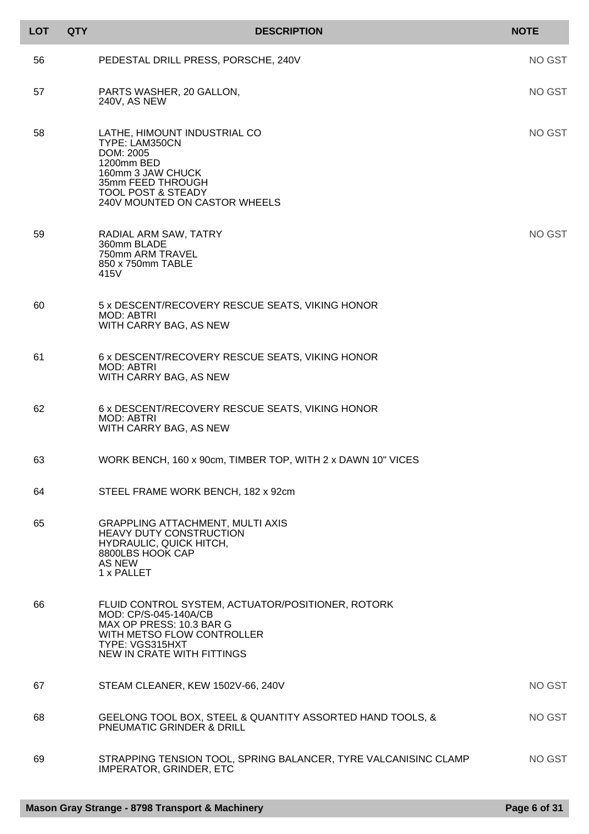| <b>LOT</b> | <b>QTY</b> | <b>DESCRIPTION</b>                                                                                                                                                                    | <b>NOTE</b> |
|------------|------------|---------------------------------------------------------------------------------------------------------------------------------------------------------------------------------------|-------------|
| 56         |            | PEDESTAL DRILL PRESS, PORSCHE, 240V                                                                                                                                                   | NO GST      |
| 57         |            | PARTS WASHER, 20 GALLON,<br>240V, AS NEW                                                                                                                                              | NO GST      |
| 58         |            | LATHE, HIMOUNT INDUSTRIAL CO<br>TYPE: LAM350CN<br>DOM: 2005<br>1200mm BED<br>160mm 3 JAW CHUCK<br>35mm FEED THROUGH<br><b>TOOL POST &amp; STEADY</b><br>240V MOUNTED ON CASTOR WHEELS | NO GST      |
| 59         |            | RADIAL ARM SAW, TATRY<br>360mm BLADE<br>750mm ARM TRAVEL<br>850 x 750mm TABLE<br>415V                                                                                                 | NO GST      |
| 60         |            | 5 x DESCENT/RECOVERY RESCUE SEATS, VIKING HONOR<br><b>MOD: ABTRI</b><br>WITH CARRY BAG, AS NEW                                                                                        |             |
| 61         |            | 6 x DESCENT/RECOVERY RESCUE SEATS, VIKING HONOR<br><b>MOD: ABTRI</b><br>WITH CARRY BAG, AS NEW                                                                                        |             |
| 62         |            | 6 x DESCENT/RECOVERY RESCUE SEATS, VIKING HONOR<br><b>MOD: ABTRI</b><br>WITH CARRY BAG, AS NEW                                                                                        |             |
| 63         |            | WORK BENCH, 160 x 90cm, TIMBER TOP, WITH 2 x DAWN 10" VICES                                                                                                                           |             |
| 64         |            | STEEL FRAME WORK BENCH, 182 x 92cm                                                                                                                                                    |             |
| 65         |            | <b>GRAPPLING ATTACHMENT, MULTI AXIS</b><br><b>HEAVY DUTY CONSTRUCTION</b><br>HYDRAULIC, QUICK HITCH,<br>8800LBS HOOK CAP<br>AS NEW<br>1 x PALLET                                      |             |
| 66         |            | FLUID CONTROL SYSTEM, ACTUATOR/POSITIONER, ROTORK<br>MOD: CP/S-045-140A/CB<br>MAX OP PRESS: 10.3 BAR G<br>WITH METSO FLOW CONTROLLER<br>TYPE: VGS315HXT<br>NEW IN CRATE WITH FITTINGS |             |
| 67         |            | STEAM CLEANER, KEW 1502V-66, 240V                                                                                                                                                     | NO GST      |
| 68         |            | GEELONG TOOL BOX, STEEL & QUANTITY ASSORTED HAND TOOLS, &<br><b>PNEUMATIC GRINDER &amp; DRILL</b>                                                                                     | NO GST      |
| 69         |            | STRAPPING TENSION TOOL, SPRING BALANCER, TYRE VALCANISINC CLAMP<br><b>IMPERATOR, GRINDER, ETC</b>                                                                                     | NO GST      |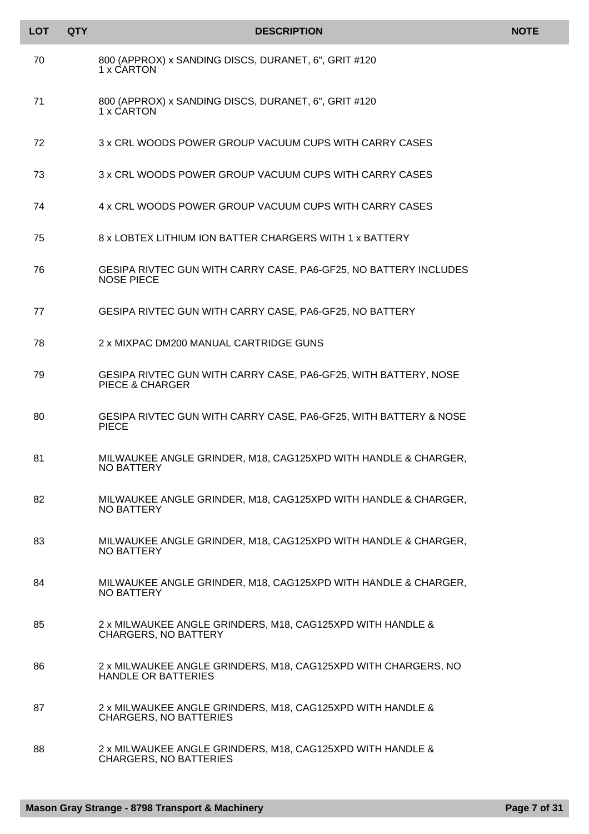| <b>LOT</b> | <b>QTY</b> | <b>DESCRIPTION</b>                                                                            | <b>NOTE</b> |
|------------|------------|-----------------------------------------------------------------------------------------------|-------------|
| 70         |            | 800 (APPROX) x SANDING DISCS, DURANET, 6", GRIT #120<br>1 x CARTON                            |             |
| 71         |            | 800 (APPROX) x SANDING DISCS, DURANET, 6", GRIT #120<br>1 x CARTON                            |             |
| 72         |            | 3 x CRL WOODS POWER GROUP VACUUM CUPS WITH CARRY CASES                                        |             |
| 73         |            | 3 x CRL WOODS POWER GROUP VACUUM CUPS WITH CARRY CASES                                        |             |
| 74         |            | 4 x CRL WOODS POWER GROUP VACUUM CUPS WITH CARRY CASES                                        |             |
| 75         |            | 8 x LOBTEX LITHIUM ION BATTER CHARGERS WITH 1 x BATTERY                                       |             |
| 76         |            | GESIPA RIVTEC GUN WITH CARRY CASE, PA6-GF25, NO BATTERY INCLUDES<br><b>NOSE PIECE</b>         |             |
| 77         |            | GESIPA RIVTEC GUN WITH CARRY CASE, PA6-GF25, NO BATTERY                                       |             |
| 78         |            | 2 x MIXPAC DM200 MANUAL CARTRIDGE GUNS                                                        |             |
| 79         |            | GESIPA RIVTEC GUN WITH CARRY CASE, PA6-GF25, WITH BATTERY, NOSE<br><b>PIECE &amp; CHARGER</b> |             |
| 80         |            | GESIPA RIVTEC GUN WITH CARRY CASE, PA6-GF25, WITH BATTERY & NOSE<br><b>PIECE</b>              |             |
| 81         |            | MILWAUKEE ANGLE GRINDER, M18, CAG125XPD WITH HANDLE & CHARGER,<br>NO BATTERY                  |             |
| 82         |            | MILWAUKEE ANGLE GRINDER, M18, CAG125XPD WITH HANDLE & CHARGER,<br>NO BATTERY                  |             |
| 83         |            | MILWAUKEE ANGLE GRINDER, M18, CAG125XPD WITH HANDLE & CHARGER,<br>NO BATTERY                  |             |
| 84         |            | MILWAUKEE ANGLE GRINDER, M18, CAG125XPD WITH HANDLE & CHARGER,<br>NO BATTERY                  |             |
| 85         |            | 2 x MILWAUKEE ANGLE GRINDERS, M18, CAG125XPD WITH HANDLE &<br><b>CHARGERS, NO BATTERY</b>     |             |
| 86         |            | 2 x MILWAUKEE ANGLE GRINDERS, M18, CAG125XPD WITH CHARGERS, NO<br><b>HANDLE OR BATTERIES</b>  |             |
| 87         |            | 2 x MILWAUKEE ANGLE GRINDERS, M18, CAG125XPD WITH HANDLE &<br><b>CHARGERS, NO BATTERIES</b>   |             |
| 88         |            | 2 x MILWAUKEE ANGLE GRINDERS, M18, CAG125XPD WITH HANDLE &<br><b>CHARGERS, NO BATTERIES</b>   |             |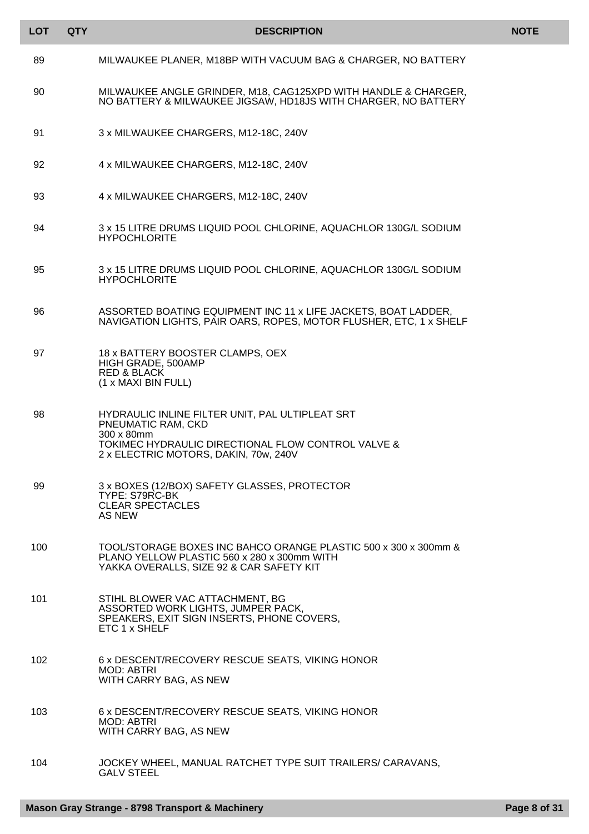| <b>LOT</b> | <b>QTY</b> | <b>DESCRIPTION</b>                                                                                                                                                                 | <b>NOTE</b> |
|------------|------------|------------------------------------------------------------------------------------------------------------------------------------------------------------------------------------|-------------|
| 89         |            | MILWAUKEE PLANER, M18BP WITH VACUUM BAG & CHARGER, NO BATTERY                                                                                                                      |             |
| 90         |            | MILWAUKEE ANGLE GRINDER, M18, CAG125XPD WITH HANDLE & CHARGER,<br>NO BATTERY & MILWAUKEE JIGSAW, HD18JS WITH CHARGER, NO BATTERY                                                   |             |
| 91         |            | 3 x MILWAUKEE CHARGERS, M12-18C, 240V                                                                                                                                              |             |
| 92         |            | 4 x MILWAUKEE CHARGERS, M12-18C, 240V                                                                                                                                              |             |
| 93         |            | 4 x MILWAUKEE CHARGERS, M12-18C, 240V                                                                                                                                              |             |
| 94         |            | 3 x 15 LITRE DRUMS LIQUID POOL CHLORINE, AQUACHLOR 130G/L SODIUM<br><b>HYPOCHLORITE</b>                                                                                            |             |
| 95         |            | 3 x 15 LITRE DRUMS LIQUID POOL CHLORINE, AQUACHLOR 130G/L SODIUM<br><b>HYPOCHLORITE</b>                                                                                            |             |
| 96         |            | ASSORTED BOATING EQUIPMENT INC 11 x LIFE JACKETS, BOAT LADDER,<br>NAVIGATION LIGHTS, PAIR OARS, ROPES, MOTOR FLUSHER, ETC, 1 x SHELF                                               |             |
| 97         |            | 18 x BATTERY BOOSTER CLAMPS, OEX<br>HIGH GRADE, 500AMP<br><b>RED &amp; BLACK</b><br>(1 x MAXI BIN FULL)                                                                            |             |
| 98         |            | HYDRAULIC INLINE FILTER UNIT, PAL ULTIPLEAT SRT<br>PNEUMATIC RAM, CKD<br>300 x 80mm<br>TOKIMEC HYDRAULIC DIRECTIONAL FLOW CONTROL VALVE &<br>2 x ELECTRIC MOTORS, DAKIN, 70w, 240V |             |
| 99         |            | 3 x BOXES (12/BOX) SAFETY GLASSES, PROTECTOR<br>TYPE: S79RC-BK<br><b>CLEAR SPECTACLES</b><br>AS NEW                                                                                |             |
| 100        |            | TOOL/STORAGE BOXES INC BAHCO ORANGE PLASTIC 500 x 300 x 300mm &<br>PLANO YELLOW PLASTIC 560 x 280 x 300mm WITH<br>YAKKA OVERALLS, SIZE 92 & CAR SAFETY KIT                         |             |
| 101        |            | STIHL BLOWER VAC ATTACHMENT, BG<br>ASSORTED WORK LIGHTS, JUMPER PACK,<br>SPEAKERS, EXIT SIGN INSERTS, PHONE COVERS,<br>ETC 1 x SHELF                                               |             |
| 102        |            | 6 x DESCENT/RECOVERY RESCUE SEATS, VIKING HONOR<br>MOD: ABTRI<br>WITH CARRY BAG, AS NEW                                                                                            |             |
| 103        |            | 6 x DESCENT/RECOVERY RESCUE SEATS, VIKING HONOR<br><b>MOD: ABTRI</b><br>WITH CARRY BAG, AS NEW                                                                                     |             |
| 104        |            | JOCKEY WHEEL, MANUAL RATCHET TYPE SUIT TRAILERS/ CARAVANS,<br><b>GALV STEEL</b>                                                                                                    |             |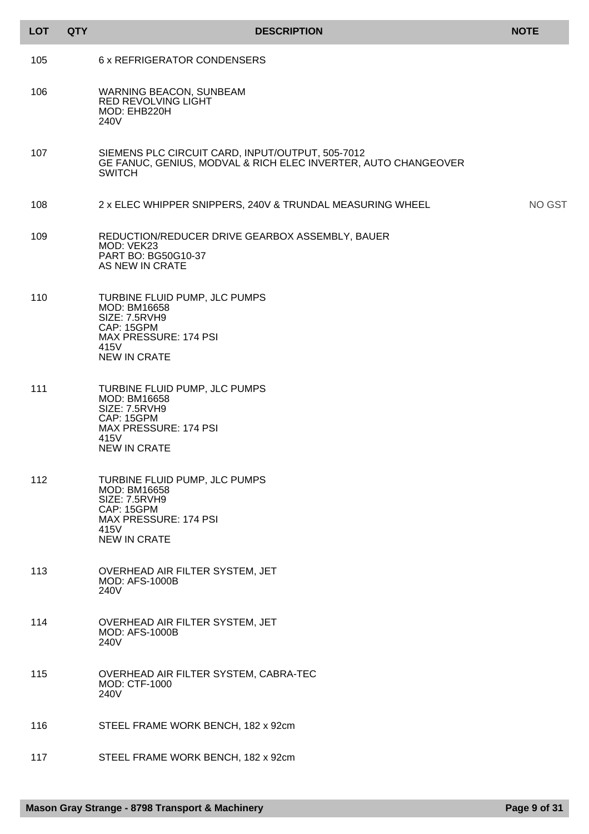| <b>LOT</b> | <b>QTY</b> | <b>DESCRIPTION</b>                                                                                                                          | <b>NOTE</b> |
|------------|------------|---------------------------------------------------------------------------------------------------------------------------------------------|-------------|
| 105        |            | 6 x REFRIGERATOR CONDENSERS                                                                                                                 |             |
| 106        |            | <b>WARNING BEACON, SUNBEAM</b><br><b>RED REVOLVING LIGHT</b><br>MOD: EHB220H<br>240V                                                        |             |
| 107        |            | SIEMENS PLC CIRCUIT CARD, INPUT/OUTPUT, 505-7012<br>GE FANUC, GENIUS, MODVAL & RICH ELEC INVERTER, AUTO CHANGEOVER<br><b>SWITCH</b>         |             |
| 108        |            | 2 x ELEC WHIPPER SNIPPERS, 240V & TRUNDAL MEASURING WHEEL                                                                                   | NO GST      |
| 109        |            | REDUCTION/REDUCER DRIVE GEARBOX ASSEMBLY, BAUER<br>MOD: VEK23<br>PART BO: BG50G10-37<br>AS NEW IN CRATE                                     |             |
| 110        |            | TURBINE FLUID PUMP, JLC PUMPS<br>MOD: BM16658<br>SIZE: 7.5RVH9<br>CAP: 15GPM<br><b>MAX PRESSURE: 174 PSI</b><br>415V<br><b>NEW IN CRATE</b> |             |
| 111        |            | TURBINE FLUID PUMP, JLC PUMPS<br>MOD: BM16658<br>SIZE: 7.5RVH9<br>CAP: 15GPM<br>MAX PRESSURE: 174 PSI<br>415V<br><b>NEW IN CRATE</b>        |             |
| 112        |            | TURBINE FLUID PUMP, JLC PUMPS<br>MOD: BM16658<br>SIZE: 7.5RVH9<br>CAP: 15GPM<br>MAX PRESSURE: 174 PSI<br>415V<br><b>NEW IN CRATE</b>        |             |
| 113        |            | OVERHEAD AIR FILTER SYSTEM, JET<br><b>MOD: AFS-1000B</b><br>240V                                                                            |             |
| 114        |            | OVERHEAD AIR FILTER SYSTEM, JET<br><b>MOD: AFS-1000B</b><br>240V                                                                            |             |
| 115        |            | OVERHEAD AIR FILTER SYSTEM, CABRA-TEC<br><b>MOD: CTF-1000</b><br>240V                                                                       |             |
| 116        |            | STEEL FRAME WORK BENCH, 182 x 92cm                                                                                                          |             |
| 117        |            | STEEL FRAME WORK BENCH, 182 x 92cm                                                                                                          |             |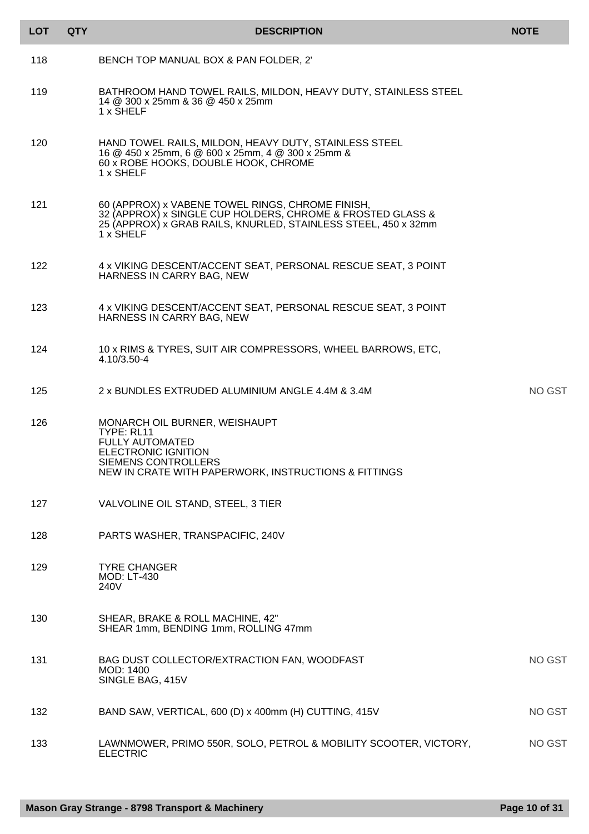| <b>LOT</b> | <b>QTY</b> | <b>DESCRIPTION</b>                                                                                                                                                                            | <b>NOTE</b>   |
|------------|------------|-----------------------------------------------------------------------------------------------------------------------------------------------------------------------------------------------|---------------|
| 118        |            | BENCH TOP MANUAL BOX & PAN FOLDER, 2'                                                                                                                                                         |               |
| 119        |            | BATHROOM HAND TOWEL RAILS, MILDON, HEAVY DUTY, STAINLESS STEEL<br>14 @ 300 x 25mm & 36 @ 450 x 25mm<br>1 x SHELF                                                                              |               |
| 120        |            | HAND TOWEL RAILS, MILDON, HEAVY DUTY, STAINLESS STEEL<br>16 @ 450 x 25mm, 6 @ 600 x 25mm, 4 @ 300 x 25mm &<br>60 x ROBE HOOKS, DOUBLE HOOK, CHROME<br>1 x SHELF                               |               |
| 121        |            | 60 (APPROX) x VABENE TOWEL RINGS, CHROME FINISH,<br>32 (APPROX) x SINGLE CUP HOLDERS, CHROME & FROSTED GLASS &<br>25 (APPROX) x GRAB RAILS, KNURLED, STAINLESS STEEL, 450 x 32mm<br>1 x SHELF |               |
| 122        |            | 4 x VIKING DESCENT/ACCENT SEAT, PERSONAL RESCUE SEAT, 3 POINT<br>HARNESS IN CARRY BAG, NEW                                                                                                    |               |
| 123        |            | 4 x VIKING DESCENT/ACCENT SEAT, PERSONAL RESCUE SEAT, 3 POINT<br>HARNESS IN CARRY BAG, NEW                                                                                                    |               |
| 124        |            | 10 x RIMS & TYRES, SUIT AIR COMPRESSORS, WHEEL BARROWS, ETC,<br>4.10/3.50-4                                                                                                                   |               |
| 125        |            | 2 x BUNDLES EXTRUDED ALUMINIUM ANGLE 4.4M & 3.4M                                                                                                                                              | NO GST        |
| 126        |            | MONARCH OIL BURNER, WEISHAUPT<br>TYPE: RL11<br><b>FULLY AUTOMATED</b><br><b>ELECTRONIC IGNITION</b><br><b>SIEMENS CONTROLLERS</b><br>NEW IN CRATE WITH PAPERWORK, INSTRUCTIONS & FITTINGS     |               |
| 127        |            | VALVOLINE OIL STAND, STEEL, 3 TIER                                                                                                                                                            |               |
| 128        |            | PARTS WASHER, TRANSPACIFIC, 240V                                                                                                                                                              |               |
| 129        |            | <b>TYRE CHANGER</b><br><b>MOD: LT-430</b><br>240V                                                                                                                                             |               |
| 130        |            | SHEAR, BRAKE & ROLL MACHINE, 42"<br>SHEAR 1mm, BENDING 1mm, ROLLING 47mm                                                                                                                      |               |
| 131        |            | BAG DUST COLLECTOR/EXTRACTION FAN, WOODFAST<br>MOD: 1400<br>SINGLE BAG, 415V                                                                                                                  | <b>NO GST</b> |
| 132        |            | BAND SAW, VERTICAL, 600 (D) x 400mm (H) CUTTING, 415V                                                                                                                                         | <b>NO GST</b> |
| 133        |            | LAWNMOWER, PRIMO 550R, SOLO, PETROL & MOBILITY SCOOTER, VICTORY,<br><b>ELECTRIC</b>                                                                                                           | <b>NO GST</b> |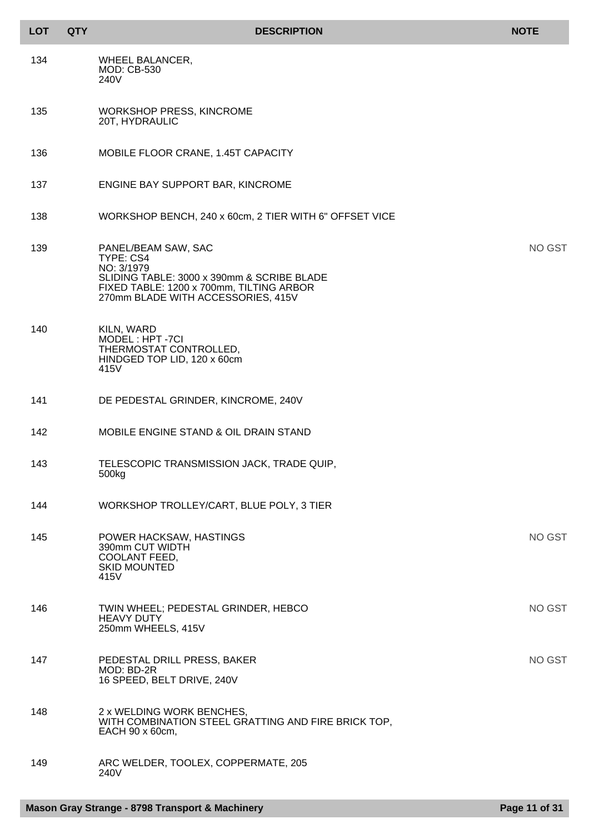| <b>LOT</b> | <b>QTY</b> | <b>DESCRIPTION</b>                                                                                                                                                             | <b>NOTE</b> |
|------------|------------|--------------------------------------------------------------------------------------------------------------------------------------------------------------------------------|-------------|
| 134        |            | <b>WHEEL BALANCER,</b><br><b>MOD: CB-530</b><br>240V                                                                                                                           |             |
| 135        |            | <b>WORKSHOP PRESS, KINCROME</b><br>20T, HYDRAULIC                                                                                                                              |             |
| 136        |            | MOBILE FLOOR CRANE, 1.45T CAPACITY                                                                                                                                             |             |
| 137        |            | ENGINE BAY SUPPORT BAR, KINCROME                                                                                                                                               |             |
| 138        |            | WORKSHOP BENCH, 240 x 60cm, 2 TIER WITH 6" OFFSET VICE                                                                                                                         |             |
| 139        |            | PANEL/BEAM SAW, SAC<br>TYPE: CS4<br>NO: 3/1979<br>SLIDING TABLE: 3000 x 390mm & SCRIBE BLADE<br>FIXED TABLE: 1200 x 700mm, TILTING ARBOR<br>270mm BLADE WITH ACCESSORIES, 415V | NO GST      |
| 140        |            | KILN, WARD<br>MODEL: HPT-7CI<br>THERMOSTAT CONTROLLED,<br>HINDGED TOP LID, 120 x 60cm<br>415V                                                                                  |             |
| 141        |            | DE PEDESTAL GRINDER, KINCROME, 240V                                                                                                                                            |             |
| 142        |            | MOBILE ENGINE STAND & OIL DRAIN STAND                                                                                                                                          |             |
| 143        |            | TELESCOPIC TRANSMISSION JACK, TRADE QUIP,<br>500kg                                                                                                                             |             |
| 144        |            | WORKSHOP TROLLEY/CART, BLUE POLY, 3 TIER                                                                                                                                       |             |
| 145        |            | POWER HACKSAW, HASTINGS<br>390mm CUT WIDTH<br>COOLANT FEED,<br><b>SKID MOUNTED</b><br>415V                                                                                     | NO GST      |
| 146        |            | TWIN WHEEL; PEDESTAL GRINDER, HEBCO<br><b>HEAVY DUTY</b><br>250mm WHEELS, 415V                                                                                                 | NO GST      |
| 147        |            | PEDESTAL DRILL PRESS, BAKER<br>MOD: BD-2R<br>16 SPEED, BELT DRIVE, 240V                                                                                                        | NO GST      |
| 148        |            | 2 x WELDING WORK BENCHES,<br>WITH COMBINATION STEEL GRATTING AND FIRE BRICK TOP,<br>EACH 90 x 60cm,                                                                            |             |
| 149        |            | ARC WELDER, TOOLEX, COPPERMATE, 205<br>240V                                                                                                                                    |             |

I l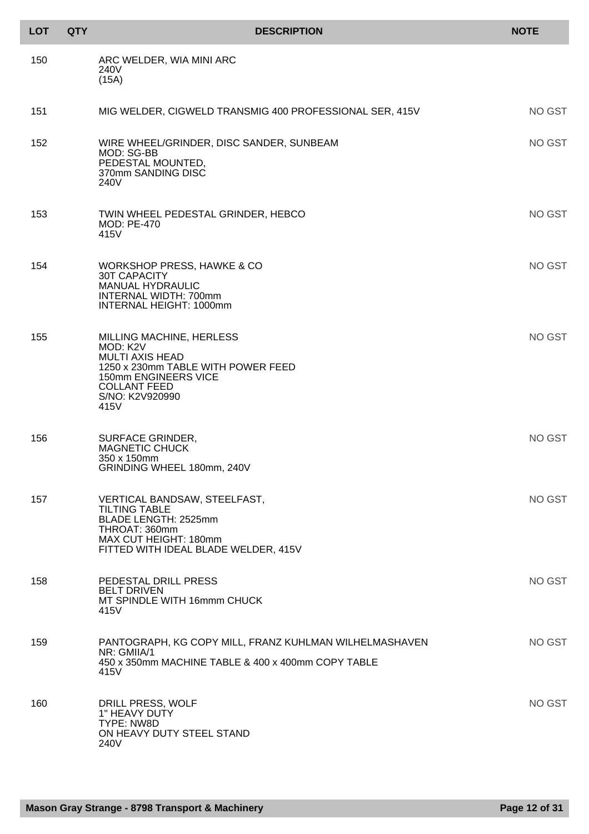| <b>LOT</b> | <b>QTY</b> | <b>DESCRIPTION</b>                                                                                                                                                             | <b>NOTE</b> |
|------------|------------|--------------------------------------------------------------------------------------------------------------------------------------------------------------------------------|-------------|
| 150        |            | ARC WELDER, WIA MINI ARC<br>240V<br>(15A)                                                                                                                                      |             |
| 151        |            | MIG WELDER, CIGWELD TRANSMIG 400 PROFESSIONAL SER, 415V                                                                                                                        | NO GST      |
| 152        |            | WIRE WHEEL/GRINDER, DISC SANDER, SUNBEAM<br>MOD: SG-BB<br>PEDESTAL MOUNTED,<br>370mm SANDING DISC<br>240V                                                                      | NO GST      |
| 153        |            | TWIN WHEEL PEDESTAL GRINDER, HEBCO<br><b>MOD: PE-470</b><br>415V                                                                                                               | NO GST      |
| 154        |            | WORKSHOP PRESS, HAWKE & CO<br>30T CAPACITY<br><b>MANUAL HYDRAULIC</b><br>INTERNAL WIDTH: 700mm<br><b>INTERNAL HEIGHT: 1000mm</b>                                               | NO GST      |
| 155        |            | MILLING MACHINE, HERLESS<br>MOD: K2V<br><b>MULTI AXIS HEAD</b><br>1250 x 230mm TABLE WITH POWER FEED<br>150mm ENGINEERS VICE<br><b>COLLANT FEED</b><br>S/NO: K2V920990<br>415V | NO GST      |
| 156        |            | <b>SURFACE GRINDER,</b><br><b>MAGNETIC CHUCK</b><br>350 x 150mm<br>GRINDING WHEEL 180mm, 240V                                                                                  | NO GST      |
| 157        |            | VERTICAL BANDSAW, STEELFAST,<br><b>TILTING TABLE</b><br>BLADE LENGTH: 2525mm<br>THROAT: 360mm<br>MAX CUT HEIGHT: 180mm<br>FITTED WITH IDEAL BLADE WELDER, 415V                 | NO GST      |
| 158        |            | PEDESTAL DRILL PRESS<br><b>BELT DRIVEN</b><br>MT SPINDLE WITH 16mmm CHUCK<br>415V                                                                                              | NO GST      |
| 159        |            | PANTOGRAPH, KG COPY MILL, FRANZ KUHLMAN WILHELMASHAVEN<br>NR: GMIIA/1<br>450 x 350mm MACHINE TABLE & 400 x 400mm COPY TABLE<br>415V                                            | NO GST      |
| 160        |            | DRILL PRESS, WOLF<br>1" HEAVY DUTY<br>TYPE: NW8D<br>ON HEAVY DUTY STEEL STAND<br>240V                                                                                          | NO GST      |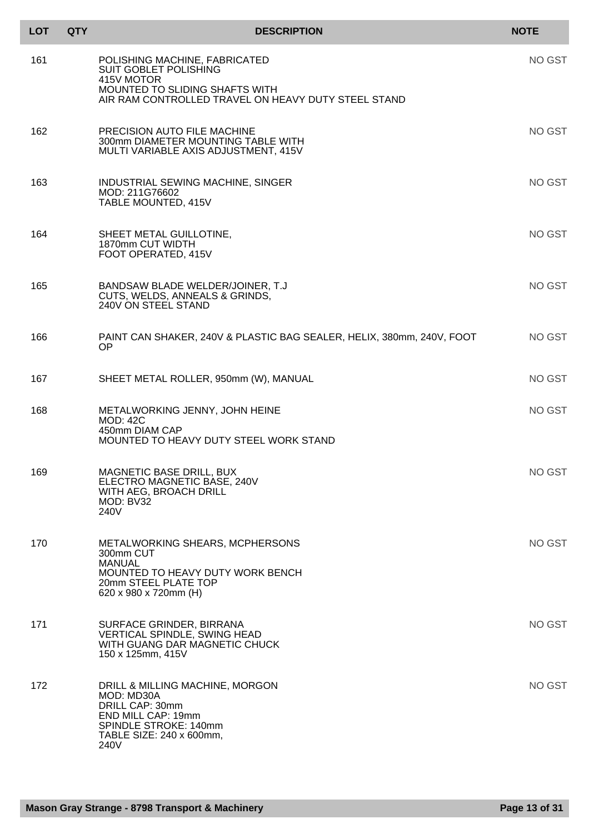| <b>LOT</b> | <b>QTY</b> | <b>DESCRIPTION</b>                                                                                                                                  | <b>NOTE</b> |
|------------|------------|-----------------------------------------------------------------------------------------------------------------------------------------------------|-------------|
| 161        |            | POLISHING MACHINE, FABRICATED<br><b>SUIT GOBLET POLISHING</b><br>415V MOTOR<br>MOUNTED TO SLIDING SHAFTS WITH                                       | NO GST      |
|            |            | AIR RAM CONTROLLED TRAVEL ON HEAVY DUTY STEEL STAND                                                                                                 |             |
| 162        |            | PRECISION AUTO FILE MACHINE<br>300mm DIAMETER MOUNTING TABLE WITH<br>MULTI VARIABLE AXIS ADJUSTMENT, 415V                                           | NO GST      |
| 163        |            | INDUSTRIAL SEWING MACHINE, SINGER<br>MOD: 211G76602<br>TABLE MOUNTED, 415V                                                                          | NO GST      |
| 164        |            | SHEET METAL GUILLOTINE,<br>1870mm CUT WIDTH<br>FOOT OPERATED, 415V                                                                                  | NO GST      |
| 165        |            | BANDSAW BLADE WELDER/JOINER, T.J<br>CUTS, WELDS, ANNEALS & GRINDS,<br>240V ON STEEL STAND                                                           | NO GST      |
| 166        |            | PAINT CAN SHAKER, 240V & PLASTIC BAG SEALER, HELIX, 380mm, 240V, FOOT<br>OP.                                                                        | NO GST      |
| 167        |            | SHEET METAL ROLLER, 950mm (W), MANUAL                                                                                                               | NO GST      |
| 168        |            | METALWORKING JENNY, JOHN HEINE<br><b>MOD: 42C</b><br>450mm DIAM CAP<br>MOUNTED TO HEAVY DUTY STEEL WORK STAND                                       | NO GST      |
| 169        |            | MAGNETIC BASE DRILL, BUX<br>ELECTRO MAGNETIC BASE, 240V<br>WITH AEG, BROACH DRILL<br>MOD: BV32<br>240V                                              | NO GST      |
| 170        |            | METALWORKING SHEARS, MCPHERSONS<br>300mm CUT<br><b>MANUAL</b><br>MOUNTED TO HEAVY DUTY WORK BENCH<br>20mm STEEL PLATE TOP<br>620 x 980 x 720mm (H)  | NO GST      |
| 171        |            | SURFACE GRINDER, BIRRANA<br><b>VERTICAL SPINDLE, SWING HEAD</b><br>WITH GUANG DAR MAGNETIC CHUCK<br>150 x 125mm, 415V                               | NO GST      |
| 172        |            | DRILL & MILLING MACHINE, MORGON<br>MOD: MD30A<br>DRILL CAP: 30mm<br>END MILL CAP: 19mm<br>SPINDLE STROKE: 140mm<br>TABLE SIZE: 240 x 600mm,<br>240V | NO GST      |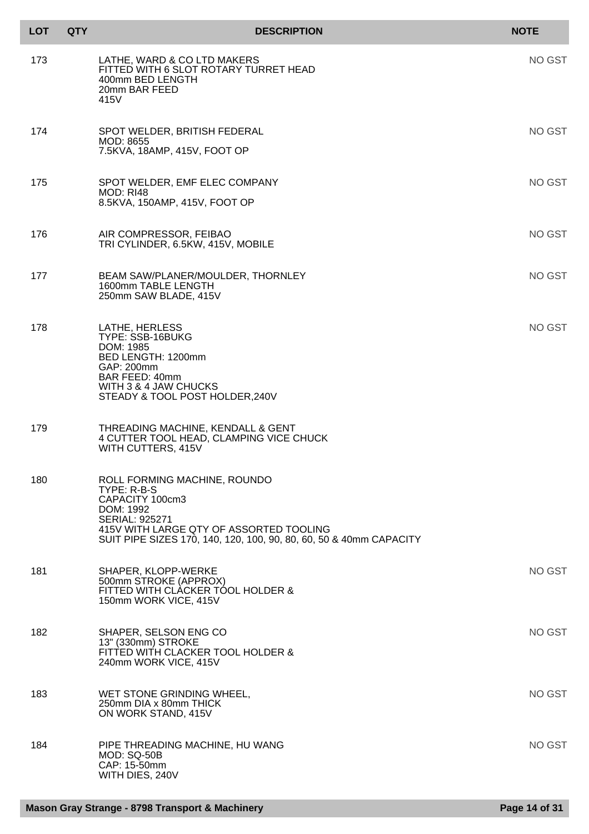| <b>LOT</b> | <b>QTY</b> | <b>DESCRIPTION</b>                                                                                                                                                                                                    | <b>NOTE</b> |
|------------|------------|-----------------------------------------------------------------------------------------------------------------------------------------------------------------------------------------------------------------------|-------------|
| 173        |            | LATHE, WARD & CO LTD MAKERS<br>FITTED WITH 6 SLOT ROTARY TURRET HEAD<br>400mm BED LENGTH<br>20mm BAR FEED<br>415V                                                                                                     | NO GST      |
| 174        |            | SPOT WELDER, BRITISH FEDERAL<br>MOD: 8655<br>7.5KVA, 18AMP, 415V, FOOT OP                                                                                                                                             | NO GST      |
| 175        |            | SPOT WELDER, EMF ELEC COMPANY<br><b>MOD: RI48</b><br>8.5KVA, 150AMP, 415V, FOOT OP                                                                                                                                    | NO GST      |
| 176        |            | AIR COMPRESSOR, FEIBAO<br>TRI CYLINDER, 6.5KW, 415V, MOBILE                                                                                                                                                           | NO GST      |
| 177        |            | BEAM SAW/PLANER/MOULDER, THORNLEY<br>1600mm TABLE LENGTH<br>250mm SAW BLADE, 415V                                                                                                                                     | NO GST      |
| 178        |            | LATHE, HERLESS<br>TYPE: SSB-16BUKG<br>DOM: 1985<br>BED LENGTH: 1200mm<br>GAP: 200mm<br><b>BAR FEED: 40mm</b><br>WITH 3 & 4 JAW CHUCKS<br>STEADY & TOOL POST HOLDER, 240V                                              | NO GST      |
| 179        |            | THREADING MACHINE, KENDALL & GENT<br>4 CUTTER TOOL HEAD, CLAMPING VICE CHUCK<br>WITH CUTTERS, 415V                                                                                                                    |             |
| 180        |            | ROLL FORMING MACHINE, ROUNDO<br>TYPE: R-B-S<br>CAPACITY 100cm3<br>DOM: 1992<br><b>SERIAL: 925271</b><br>415V WITH LARGE QTY OF ASSORTED TOOLING<br>SUIT PIPE SIZES 170, 140, 120, 100, 90, 80, 60, 50 & 40mm CAPACITY |             |
| 181        |            | SHAPER, KLOPP-WERKE<br>500mm STROKE (APPROX)<br>FITTED WITH CLACKER TOOL HOLDER &<br>150mm WORK VICE, 415V                                                                                                            | NO GST      |
| 182        |            | SHAPER, SELSON ENG CO<br>13" (330mm) STROKE<br>FITTED WITH CLACKER TOOL HOLDER &<br>240mm WORK VICE, 415V                                                                                                             | NO GST      |
| 183        |            | WET STONE GRINDING WHEEL,<br>250mm DIA x 80mm THICK<br>ON WORK STAND, 415V                                                                                                                                            | NO GST      |
| 184        |            | PIPE THREADING MACHINE, HU WANG<br><b>MOD: SQ-50B</b><br>CAP: 15-50mm<br>WITH DIES, 240V                                                                                                                              | NO GST      |

I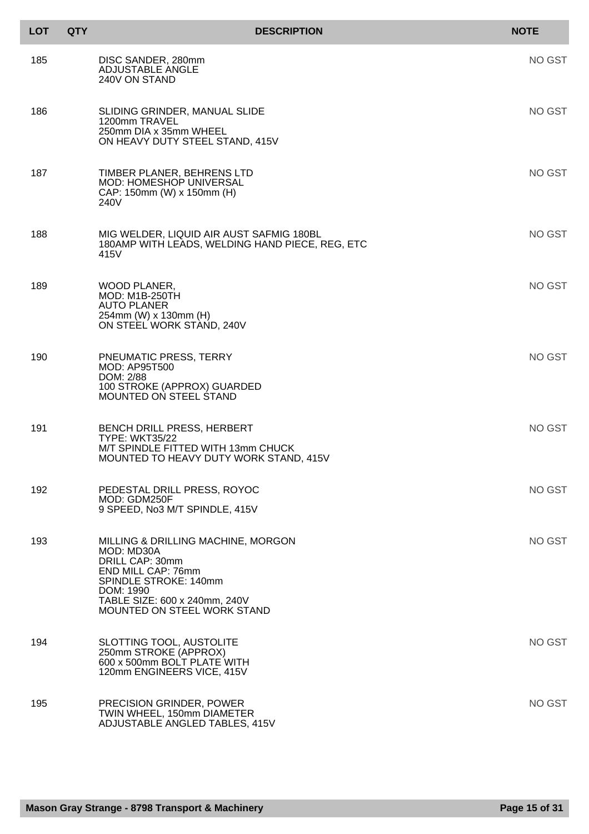| <b>LOT</b> | <b>QTY</b> | <b>DESCRIPTION</b>                                                                                                                                                                              | <b>NOTE</b> |
|------------|------------|-------------------------------------------------------------------------------------------------------------------------------------------------------------------------------------------------|-------------|
| 185        |            | DISC SANDER, 280mm<br><b>ADJUSTABLE ANGLE</b><br>240V ON STAND                                                                                                                                  | NO GST      |
| 186        |            | SLIDING GRINDER, MANUAL SLIDE<br>1200mm TRAVEL<br>250mm DIA x 35mm WHEEL<br>ON HEAVY DUTY STEEL STAND, 415V                                                                                     | NO GST      |
| 187        |            | TIMBER PLANER, BEHRENS LTD<br><b>MOD: HOMESHOP UNIVERSAL</b><br>CAP: 150mm (W) x 150mm (H)<br>240V                                                                                              | NO GST      |
| 188        |            | MIG WELDER, LIQUID AIR AUST SAFMIG 180BL<br>180AMP WITH LEADS, WELDING HAND PIECE, REG, ETC<br>415V                                                                                             | NO GST      |
| 189        |            | WOOD PLANER,<br><b>MOD: M1B-250TH</b><br><b>AUTO PLANER</b><br>254mm (W) x 130mm (H)<br>ON STEEL WORK STAND, 240V                                                                               | NO GST      |
| 190        |            | PNEUMATIC PRESS, TERRY<br><b>MOD: AP95T500</b><br>DOM: 2/88<br>100 STROKE (APPROX) GUARDED<br><b>MOUNTED ON STEEL STAND</b>                                                                     | NO GST      |
| 191        |            | BENCH DRILL PRESS, HERBERT<br><b>TYPE: WKT35/22</b><br>M/T SPINDLE FITTED WITH 13mm CHUCK<br>MOUNTED TO HEAVY DUTY WORK STAND, 415V                                                             | NO GST      |
| 192        |            | PEDESTAL DRILL PRESS, ROYOC<br>MOD: GDM250F<br>9 SPEED, No3 M/T SPINDLE, 415V                                                                                                                   | NO GST      |
| 193        |            | MILLING & DRILLING MACHINE, MORGON<br>MOD: MD30A<br>DRILL CAP: 30mm<br>END MILL CAP: 76mm<br>SPINDLE STROKE: 140mm<br>DOM: 1990<br>TABLE SIZE: 600 x 240mm, 240V<br>MOUNTED ON STEEL WORK STAND | NO GST      |
| 194        |            | SLOTTING TOOL, AUSTOLITE<br>250mm STROKE (APPROX)<br>600 x 500mm BOLT PLATE WITH<br>120mm ENGINEERS VICE, 415V                                                                                  | NO GST      |
| 195        |            | PRECISION GRINDER, POWER<br>TWIN WHEEL, 150mm DIAMETER<br>ADJUSTABLE ANGLED TABLES, 415V                                                                                                        | NO GST      |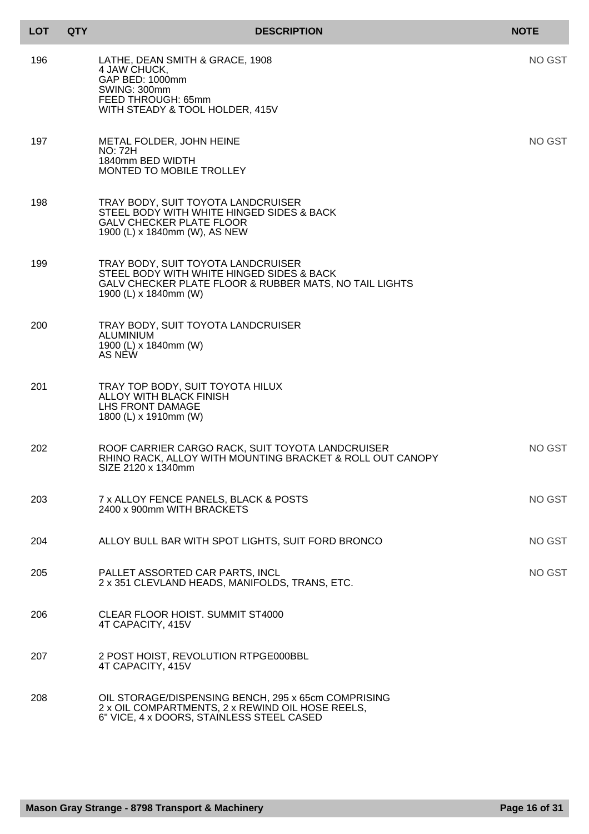| <b>LOT</b> | <b>QTY</b> | <b>DESCRIPTION</b>                                                                                                                                                 | <b>NOTE</b> |
|------------|------------|--------------------------------------------------------------------------------------------------------------------------------------------------------------------|-------------|
| 196        |            | LATHE, DEAN SMITH & GRACE, 1908<br>4 JAW CHUCK,<br>GAP BED: 1000mm<br>SWING: 300mm<br>FEED THROUGH: 65mm<br>WITH STEADY & TOOL HOLDER, 415V                        | NO GST      |
| 197        |            | METAL FOLDER, JOHN HEINE<br><b>NO: 72H</b><br>1840mm BED WIDTH<br>MONTED TO MOBILE TROLLEY                                                                         | NO GST      |
| 198        |            | TRAY BODY, SUIT TOYOTA LANDCRUISER<br>STEEL BODY WITH WHITE HINGED SIDES & BACK<br><b>GALV CHECKER PLATE FLOOR</b><br>1900 (L) x 1840mm (W), AS NEW                |             |
| 199        |            | TRAY BODY, SUIT TOYOTA LANDCRUISER<br>STEEL BODY WITH WHITE HINGED SIDES & BACK<br>GALV CHECKER PLATE FLOOR & RUBBER MATS, NO TAIL LIGHTS<br>1900 (L) x 1840mm (W) |             |
| 200        |            | TRAY BODY, SUIT TOYOTA LANDCRUISER<br>ALUMINIUM<br>1900 (L) x 1840mm (W)<br>AS NEW                                                                                 |             |
| 201        |            | TRAY TOP BODY, SUIT TOYOTA HILUX<br>ALLOY WITH BLACK FINISH<br>LHS FRONT DAMAGE<br>1800 (L) x 1910mm (W)                                                           |             |
| 202        |            | ROOF CARRIER CARGO RACK, SUIT TOYOTA LANDCRUISER<br>RHINO RACK, ALLOY WITH MOUNTING BRACKET & ROLL OUT CANOPY<br>SIZE 2120 x 1340mm                                | NO GST      |
| 203        |            | 7 x ALLOY FENCE PANELS, BLACK & POSTS<br>2400 x 900mm WITH BRACKETS                                                                                                | NO GST      |
| 204        |            | ALLOY BULL BAR WITH SPOT LIGHTS, SUIT FORD BRONCO                                                                                                                  | NO GST      |
| 205        |            | PALLET ASSORTED CAR PARTS, INCL<br>2 x 351 CLEVLAND HEADS, MANIFOLDS, TRANS, ETC.                                                                                  | NO GST      |
| 206        |            | CLEAR FLOOR HOIST. SUMMIT ST4000<br>4T CAPACITY, 415V                                                                                                              |             |
| 207        |            | 2 POST HOIST, REVOLUTION RTPGE000BBL<br>4T CAPACITY, 415V                                                                                                          |             |
| 208        |            | OIL STORAGE/DISPENSING BENCH, 295 x 65cm COMPRISING<br>2 x OIL COMPARTMENTS, 2 x REWIND OIL HOSE REELS,<br>6" VICE, 4 x DOORS, STAINLESS STEEL CASED               |             |

I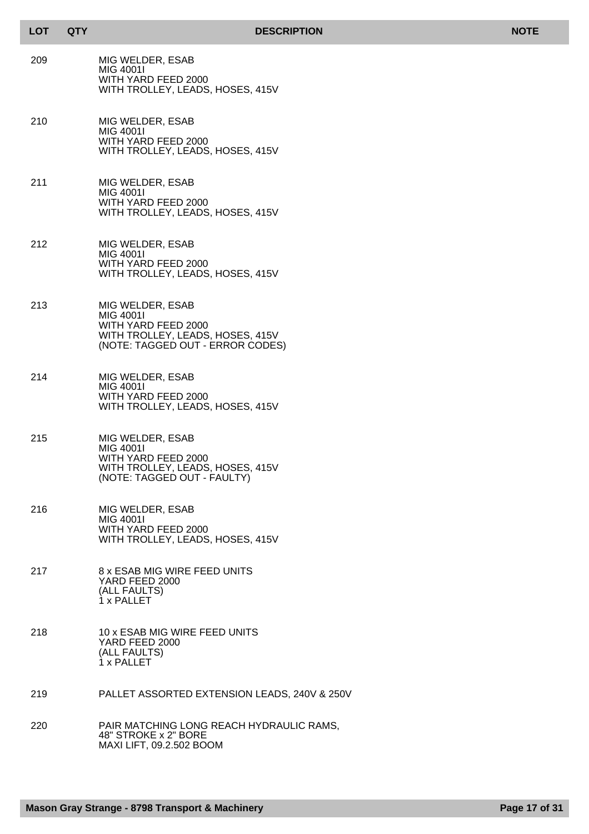| LOT | QTY |
|-----|-----|
|-----|-----|

- 209 MIG WELDER, ESAB MIG 4001I WITH YARD FEED 2000 WITH TROLLEY, LEADS, HOSES, 415V
- 210 MIG WELDER, ESAB MIG 4001I WITH YARD FEED 2000 WITH TROLLEY, LEADS, HOSES, 415V
- 211 MIG WELDER, ESAB MIG 4001I WITH YARD FEED 2000 WITH TROLLEY, LEADS, HOSES, 415V
- 212 MIG WELDER, ESAB MIG 4001I WITH YARD FEED 2000 WITH TROLLEY, LEADS, HOSES, 415V
- 213 MIG WELDER, ESAB MIG 4001I WITH YARD FEED 2000 WITH TROLLEY, LEADS, HOSES, 415V (NOTE: TAGGED OUT - ERROR CODES)
- 214 MIG WELDER, ESAB MIG 4001I WITH YARD FEED 2000 WITH TROLLEY, LEADS, HOSES, 415V
- 215 MIG WELDER, ESAB MIG 4001I WITH YARD FEED 2000 WITH TROLLEY, LEADS, HOSES, 415V (NOTE: TAGGED OUT - FAULTY)
- 216 MIG WELDER, ESAB MIG 4001I WITH YARD FEED 2000 WITH TROLLEY, LEADS, HOSES, 415V
- 217 8 x ESAB MIG WIRE FEED UNITS YARD FEED 2000 (ALL FAULTS) 1 x PALLET
- 218 10 x ESAB MIG WIRE FEED UNITS YARD FEED 2000 (ALL FAULTS) 1 x PALLET
- 219 PALLET ASSORTED EXTENSION LEADS, 240V & 250V
- 220 PAIR MATCHING LONG REACH HYDRAULIC RAMS, 48" STROKE x 2" BORE MAXI LIFT, 09.2.502 BOOM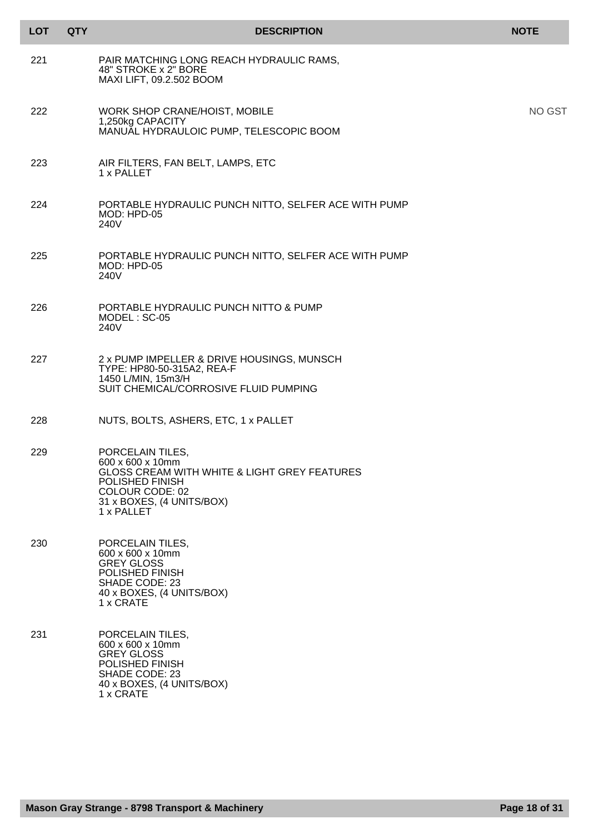| <b>LOT</b> | <b>QTY</b> | <b>DESCRIPTION</b>                                                                                                                                                           | <b>NOTE</b> |
|------------|------------|------------------------------------------------------------------------------------------------------------------------------------------------------------------------------|-------------|
| 221        |            | PAIR MATCHING LONG REACH HYDRAULIC RAMS,<br>48" STROKE x 2" BORE<br>MAXI LIFT, 09.2.502 BOOM                                                                                 |             |
| 222        |            | WORK SHOP CRANE/HOIST, MOBILE<br>1,250kg CAPACITY<br>MANUAL HYDRAULOIC PUMP, TELESCOPIC BOOM                                                                                 | NO GST      |
| 223        |            | AIR FILTERS, FAN BELT, LAMPS, ETC<br>1 x PALLET                                                                                                                              |             |
| 224        |            | PORTABLE HYDRAULIC PUNCH NITTO, SELFER ACE WITH PUMP<br>MOD: HPD-05<br>240V                                                                                                  |             |
| 225        |            | PORTABLE HYDRAULIC PUNCH NITTO, SELFER ACE WITH PUMP<br>MOD: HPD-05<br>240V                                                                                                  |             |
| 226        |            | PORTABLE HYDRAULIC PUNCH NITTO & PUMP<br>MODEL: SC-05<br>240V                                                                                                                |             |
| 227        |            | 2 x PUMP IMPELLER & DRIVE HOUSINGS, MUNSCH<br>TYPE: HP80-50-315A2, REA-F<br>1450 L/MIN, 15m3/H<br>SUIT CHEMICAL/CORROSIVE FLUID PUMPING                                      |             |
| 228        |            | NUTS, BOLTS, ASHERS, ETC, 1 x PALLET                                                                                                                                         |             |
| 229        |            | PORCELAIN TILES,<br>600 x 600 x 10mm<br>GLOSS CREAM WITH WHITE & LIGHT GREY FEATURES<br>POLISHED FINISH<br><b>COLOUR CODE: 02</b><br>31 x BOXES, (4 UNITS/BOX)<br>1 x PALLET |             |
| 230        |            | PORCELAIN TILES,<br>600 x 600 x 10mm<br><b>GREY GLOSS</b><br>POLISHED FINISH<br>SHADE CODE: 23<br>40 x BOXES, (4 UNITS/BOX)<br>1 x CRATE                                     |             |
| 231        |            | PORCELAIN TILES,<br>600 x 600 x 10mm<br><b>GREY GLOSS</b><br>POLISHED FINISH<br>SHADE CODE: 23<br>40 x BOXES, (4 UNITS/BOX)<br>1 x CRATE                                     |             |

I ı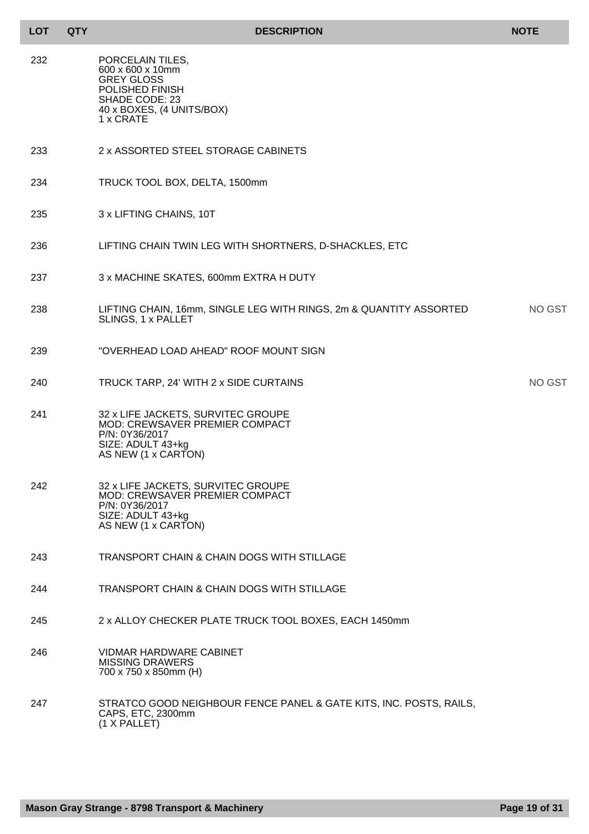| <b>LOT</b> | <b>QTY</b> | <b>DESCRIPTION</b>                                                                                                                        | <b>NOTE</b>   |
|------------|------------|-------------------------------------------------------------------------------------------------------------------------------------------|---------------|
| 232        |            | PORCELAIN TILES,<br>600 x 600 x 10mm<br><b>GREY GLOSS</b><br>POLISHED FINISH<br>SHADE CODE: 23<br>40 x BOXES, (4 UNITS/BOX)<br>1 x CRATE  |               |
| 233        |            | 2 x ASSORTED STEEL STORAGE CABINETS                                                                                                       |               |
| 234        |            | TRUCK TOOL BOX, DELTA, 1500mm                                                                                                             |               |
| 235        |            | 3 x LIFTING CHAINS, 10T                                                                                                                   |               |
| 236        |            | LIFTING CHAIN TWIN LEG WITH SHORTNERS, D-SHACKLES, ETC                                                                                    |               |
| 237        |            | 3 x MACHINE SKATES, 600mm EXTRA H DUTY                                                                                                    |               |
| 238        |            | LIFTING CHAIN, 16mm, SINGLE LEG WITH RINGS, 2m & QUANTITY ASSORTED<br>SLINGS, 1 x PALLET                                                  | <b>NO GST</b> |
| 239        |            | "OVERHEAD LOAD AHEAD" ROOF MOUNT SIGN                                                                                                     |               |
| 240        |            | TRUCK TARP, 24' WITH 2 x SIDE CURTAINS                                                                                                    | <b>NO GST</b> |
| 241        |            | 32 x LIFE JACKETS, SURVITEC GROUPE<br>MOD: CREWSAVER PREMIER COMPACT<br>P/N: 0Y36/2017<br>SIZE: ADULT 43+kg<br>AS NEW (1 x CARTON)        |               |
| 242        |            | 32 x LIFE JACKETS, SURVITEC GROUPE<br><b>MOD: CREWSAVER PREMIER COMPACT</b><br>P/N: 0Y36/2017<br>SIZE: ADULT 43+kg<br>AS NEW (1 x CARTON) |               |
| 243        |            | TRANSPORT CHAIN & CHAIN DOGS WITH STILLAGE                                                                                                |               |
| 244        |            | <b>TRANSPORT CHAIN &amp; CHAIN DOGS WITH STILLAGE</b>                                                                                     |               |
| 245        |            | 2 x ALLOY CHECKER PLATE TRUCK TOOL BOXES, EACH 1450mm                                                                                     |               |
| 246        |            | <b>VIDMAR HARDWARE CABINET</b><br><b>MISSING DRAWERS</b><br>700 x 750 x 850mm (H)                                                         |               |
| 247        |            | STRATCO GOOD NEIGHBOUR FENCE PANEL & GATE KITS, INC. POSTS, RAILS,<br>CAPS, ETC, 2300mm<br>(1 X PALLET)                                   |               |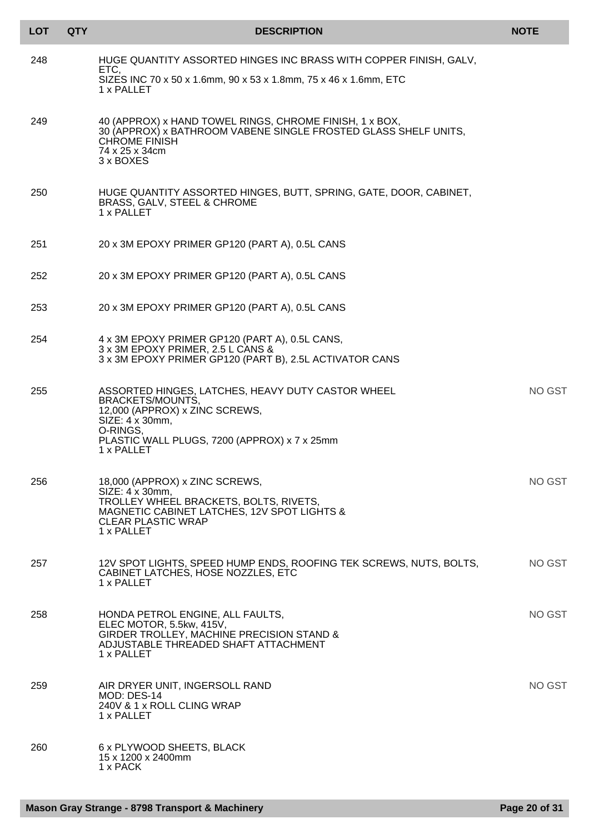| <b>LOT</b> | <b>QTY</b> | <b>DESCRIPTION</b>                                                                                                                                                                                   | <b>NOTE</b>   |
|------------|------------|------------------------------------------------------------------------------------------------------------------------------------------------------------------------------------------------------|---------------|
| 248        |            | HUGE QUANTITY ASSORTED HINGES INC BRASS WITH COPPER FINISH, GALV,<br>ETC,<br>SIZES INC 70 x 50 x 1.6mm, 90 x 53 x 1.8mm, 75 x 46 x 1.6mm, ETC<br>1 x PALLET                                          |               |
| 249        |            | 40 (APPROX) x HAND TOWEL RINGS, CHROME FINISH, 1 x BOX,<br>30 (APPROX) x BATHROOM VABENE SINGLE FROSTED GLASS SHELF UNITS.<br><b>CHROME FINISH</b><br>74 x 25 x 34cm<br>3 x BOXES                    |               |
| 250        |            | HUGE QUANTITY ASSORTED HINGES, BUTT, SPRING, GATE, DOOR, CABINET,<br>BRASS, GALV, STEEL & CHROME<br>1 x PALLET                                                                                       |               |
| 251        |            | 20 x 3M EPOXY PRIMER GP120 (PART A), 0.5L CANS                                                                                                                                                       |               |
| 252        |            | 20 x 3M EPOXY PRIMER GP120 (PART A), 0.5L CANS                                                                                                                                                       |               |
| 253        |            | 20 x 3M EPOXY PRIMER GP120 (PART A), 0.5L CANS                                                                                                                                                       |               |
| 254        |            | 4 x 3M EPOXY PRIMER GP120 (PART A), 0.5L CANS,<br>3 x 3M EPOXY PRIMER, 2.5 L CANS &<br>3 x 3M EPOXY PRIMER GP120 (PART B), 2.5L ACTIVATOR CANS                                                       |               |
| 255        |            | ASSORTED HINGES, LATCHES, HEAVY DUTY CASTOR WHEEL<br>BRACKETS/MOUNTS,<br>12,000 (APPROX) x ZINC SCREWS,<br>SIZE: 4 x 30mm,<br>O-RINGS,<br>PLASTIC WALL PLUGS, 7200 (APPROX) x 7 x 25mm<br>1 x PALLET | <b>NO GST</b> |
| 256        |            | 18,000 (APPROX) x ZINC SCREWS,<br>$SIZE: 4 \times 30$ mm,<br>TROLLEY WHEEL BRACKETS, BOLTS, RIVETS,<br>MAGNETIC CABINET LATCHES, 12V SPOT LIGHTS &<br><b>CLEAR PLASTIC WRAP</b><br>1 x PALLET        | NO GST        |
| 257        |            | 12V SPOT LIGHTS, SPEED HUMP ENDS, ROOFING TEK SCREWS, NUTS, BOLTS,<br>CABINET LATCHES, HOSE NOZZLES, ETC<br>1 x PALLET                                                                               | <b>NO GST</b> |
| 258        |            | HONDA PETROL ENGINE, ALL FAULTS,<br>ELEC MOTOR, 5.5kw, 415V,<br>GIRDER TROLLEY, MACHINE PRECISION STAND &<br>ADJUSTABLE THREADED SHAFT ATTACHMENT<br>1 x PALLET                                      | NO GST        |
| 259        |            | AIR DRYER UNIT, INGERSOLL RAND<br>MOD: DES-14<br>240V & 1 x ROLL CLING WRAP<br>1 x PALLET                                                                                                            | NO GST        |
| 260        |            | 6 x PLYWOOD SHEETS, BLACK<br>15 x 1200 x 2400mm<br>1 x PACK                                                                                                                                          |               |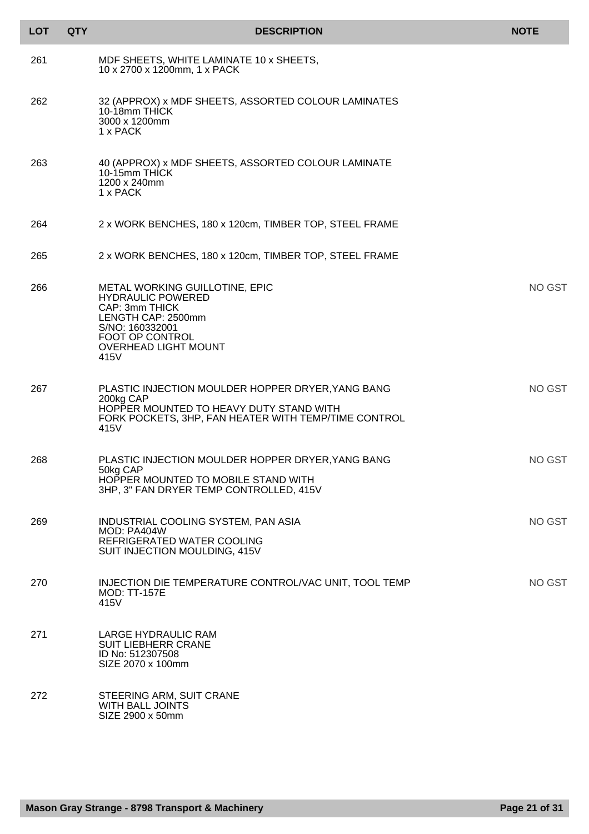| <b>LOT</b> | <b>QTY</b> | <b>DESCRIPTION</b>                                                                                                                                                              | <b>NOTE</b> |
|------------|------------|---------------------------------------------------------------------------------------------------------------------------------------------------------------------------------|-------------|
| 261        |            | MDF SHEETS, WHITE LAMINATE 10 x SHEETS,<br>10 x 2700 x 1200mm, 1 x PACK                                                                                                         |             |
| 262        |            | 32 (APPROX) x MDF SHEETS, ASSORTED COLOUR LAMINATES<br>10-18mm THICK<br>3000 x 1200mm<br>1 x PACK                                                                               |             |
| 263        |            | 40 (APPROX) x MDF SHEETS, ASSORTED COLOUR LAMINATE<br>10-15mm THICK<br>1200 x 240mm<br>1 x PACK                                                                                 |             |
| 264        |            | 2 x WORK BENCHES, 180 x 120cm, TIMBER TOP, STEEL FRAME                                                                                                                          |             |
| 265        |            | 2 x WORK BENCHES, 180 x 120cm, TIMBER TOP, STEEL FRAME                                                                                                                          |             |
| 266        |            | METAL WORKING GUILLOTINE, EPIC<br><b>HYDRAULIC POWERED</b><br>CAP: 3mm THICK<br>LENGTH CAP: 2500mm<br>S/NO: 160332001<br>FOOT OP CONTROL<br><b>OVERHEAD LIGHT MOUNT</b><br>415V | NO GST      |
| 267        |            | PLASTIC INJECTION MOULDER HOPPER DRYER, YANG BANG<br>200kg CAP<br>HOPPER MOUNTED TO HEAVY DUTY STAND WITH<br>FORK POCKETS, 3HP, FAN HEATER WITH TEMP/TIME CONTROL<br>415V       | NO GST      |
| 268        |            | PLASTIC INJECTION MOULDER HOPPER DRYER, YANG BANG<br>50kg CAP<br>HOPPER MOUNTED TO MOBILE STAND WITH<br>3HP, 3" FAN DRYER TEMP CONTROLLED, 415V                                 | NO GST      |
| 269        |            | INDUSTRIAL COOLING SYSTEM, PAN ASIA<br>MOD: PA404W<br>REFRIGERATED WATER COOLING<br>SUIT INJECTION MOULDING, 415V                                                               | NO GST      |
| 270        |            | INJECTION DIE TEMPERATURE CONTROL/VAC UNIT, TOOL TEMP<br><b>MOD: TT-157E</b><br>415V                                                                                            | NO GST      |
| 271        |            | LARGE HYDRAULIC RAM<br><b>SUIT LIEBHERR CRANE</b><br>ID No: 512307508<br>SIZE 2070 x 100mm                                                                                      |             |
| 272        |            | STEERING ARM, SUIT CRANE<br><b>WITH BALL JOINTS</b><br>SIZE 2900 x 50mm                                                                                                         |             |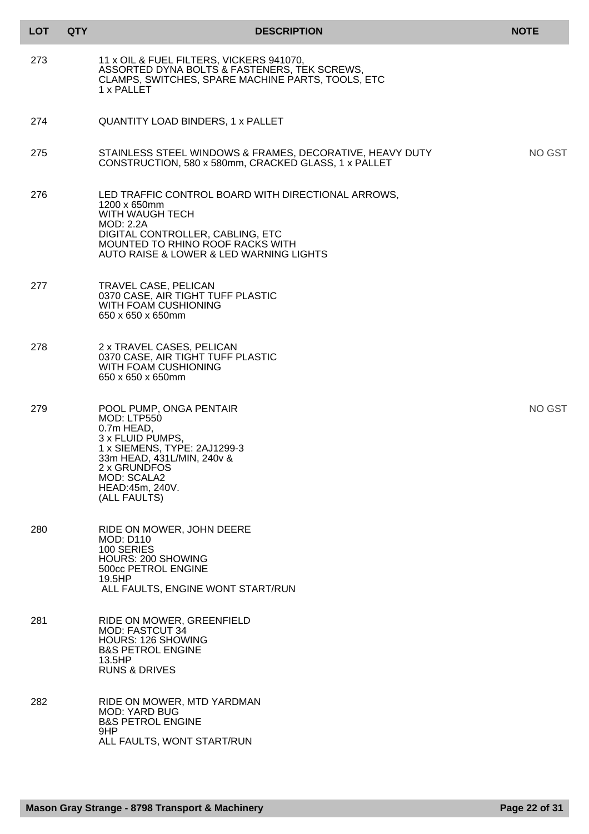| <b>LOT</b> | <b>QTY</b> | <b>DESCRIPTION</b>                                                                                                                                                                                                    | <b>NOTE</b> |
|------------|------------|-----------------------------------------------------------------------------------------------------------------------------------------------------------------------------------------------------------------------|-------------|
| 273        |            | 11 x OIL & FUEL FILTERS, VICKERS 941070,<br>ASSORTED DYNA BOLTS & FASTENERS, TEK SCREWS,<br>CLAMPS, SWITCHES, SPARE MACHINE PARTS, TOOLS, ETC<br>1 x PALLET                                                           |             |
| 274        |            | <b>QUANTITY LOAD BINDERS, 1 x PALLET</b>                                                                                                                                                                              |             |
| 275        |            | STAINLESS STEEL WINDOWS & FRAMES, DECORATIVE, HEAVY DUTY<br>CONSTRUCTION, 580 x 580mm, CRACKED GLASS, 1 x PALLET                                                                                                      | NO GST      |
| 276        |            | LED TRAFFIC CONTROL BOARD WITH DIRECTIONAL ARROWS,<br>1200 x 650mm<br>WITH WAUGH TECH<br>MOD: 2.2A<br>DIGITAL CONTROLLER, CABLING, ETC<br>MOUNTED TO RHINO ROOF RACKS WITH<br>AUTO RAISE & LOWER & LED WARNING LIGHTS |             |
| 277        |            | TRAVEL CASE, PELICAN<br>0370 CASE, AIR TIGHT TUFF PLASTIC<br><b>WITH FOAM CUSHIONING</b><br>650 x 650 x 650mm                                                                                                         |             |
| 278        |            | 2 x TRAVEL CASES, PELICAN<br>0370 CASE, AIR TIGHT TUFF PLASTIC<br>WITH FOAM CUSHIONING<br>650 x 650 x 650mm                                                                                                           |             |
| 279        |            | POOL PUMP, ONGA PENTAIR<br>MOD: LTP550<br>0.7m HEAD,<br>3 x FLUID PUMPS,<br>1 x SIEMENS, TYPE: 2AJ1299-3<br>33m HEAD, 431L/MIN, 240v &<br>2 x GRUNDFOS<br>MOD: SCALA2<br>HEAD:45m, 240V.<br>(ALL FAULTS)              | NO GST      |
| 280        |            | RIDE ON MOWER, JOHN DEERE<br><b>MOD: D110</b><br>100 SERIES<br><b>HOURS: 200 SHOWING</b><br>500cc PETROL ENGINE<br>19.5HP<br>ALL FAULTS, ENGINE WONT START/RUN                                                        |             |
| 281        |            | RIDE ON MOWER, GREENFIELD<br><b>MOD: FASTCUT 34</b><br><b>HOURS: 126 SHOWING</b><br><b>B&amp;S PETROL ENGINE</b><br>13.5HP<br><b>RUNS &amp; DRIVES</b>                                                                |             |
| 282        |            | RIDE ON MOWER, MTD YARDMAN<br><b>MOD: YARD BUG</b><br><b>B&amp;S PETROL ENGINE</b><br>9HP<br>ALL FAULTS, WONT START/RUN                                                                                               |             |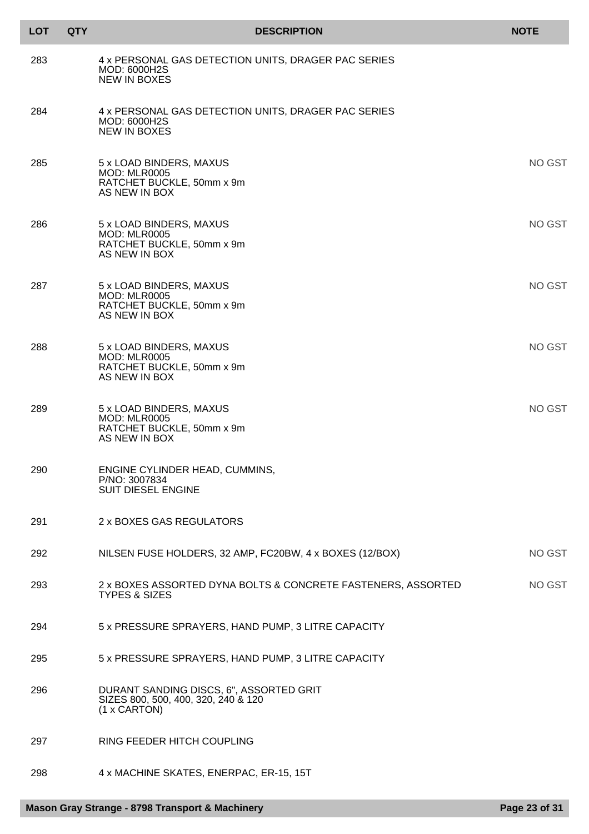| <b>LOT</b> | <b>QTY</b> | <b>DESCRIPTION</b>                                                                             | <b>NOTE</b> |
|------------|------------|------------------------------------------------------------------------------------------------|-------------|
| 283        |            | 4 x PERSONAL GAS DETECTION UNITS, DRAGER PAC SERIES<br>MOD: 6000H2S<br><b>NEW IN BOXES</b>     |             |
| 284        |            | 4 x PERSONAL GAS DETECTION UNITS, DRAGER PAC SERIES<br>MOD: 6000H2S<br><b>NEW IN BOXES</b>     |             |
| 285        |            | 5 x LOAD BINDERS, MAXUS<br><b>MOD: MLR0005</b><br>RATCHET BUCKLE, 50mm x 9m<br>AS NEW IN BOX   | NO GST      |
| 286        |            | 5 x LOAD BINDERS, MAXUS<br><b>MOD: MLR0005</b><br>RATCHET BUCKLE, 50mm x 9m<br>AS NEW IN BOX   | NO GST      |
| 287        |            | 5 x LOAD BINDERS, MAXUS<br><b>MOD: MLR0005</b><br>RATCHET BUCKLE, 50mm x 9m<br>AS NEW IN BOX   | NO GST      |
| 288        |            | 5 x LOAD BINDERS, MAXUS<br><b>MOD: MLR0005</b><br>RATCHET BUCKLE, 50mm x 9m<br>AS NEW IN BOX   | NO GST      |
| 289        |            | 5 x LOAD BINDERS, MAXUS<br><b>MOD: MLR0005</b><br>RATCHET BUCKLE, 50mm x 9m<br>AS NEW IN BOX   | NO GST      |
| 290        |            | ENGINE CYLINDER HEAD, CUMMINS,<br>P/NO: 3007834<br><b>SUIT DIESEL ENGINE</b>                   |             |
| 291        |            | 2 x BOXES GAS REGULATORS                                                                       |             |
| 292        |            | NILSEN FUSE HOLDERS, 32 AMP, FC20BW, 4 x BOXES (12/BOX)                                        | NO GST      |
| 293        |            | 2 x BOXES ASSORTED DYNA BOLTS & CONCRETE FASTENERS, ASSORTED<br><b>TYPES &amp; SIZES</b>       | NO GST      |
| 294        |            | 5 x PRESSURE SPRAYERS, HAND PUMP, 3 LITRE CAPACITY                                             |             |
| 295        |            | 5 x PRESSURE SPRAYERS, HAND PUMP, 3 LITRE CAPACITY                                             |             |
| 296        |            | DURANT SANDING DISCS, 6", ASSORTED GRIT<br>SIZES 800, 500, 400, 320, 240 & 120<br>(1 x CARTON) |             |
| 297        |            | RING FEEDER HITCH COUPLING                                                                     |             |
| 298        |            | 4 x MACHINE SKATES, ENERPAC, ER-15, 15T                                                        |             |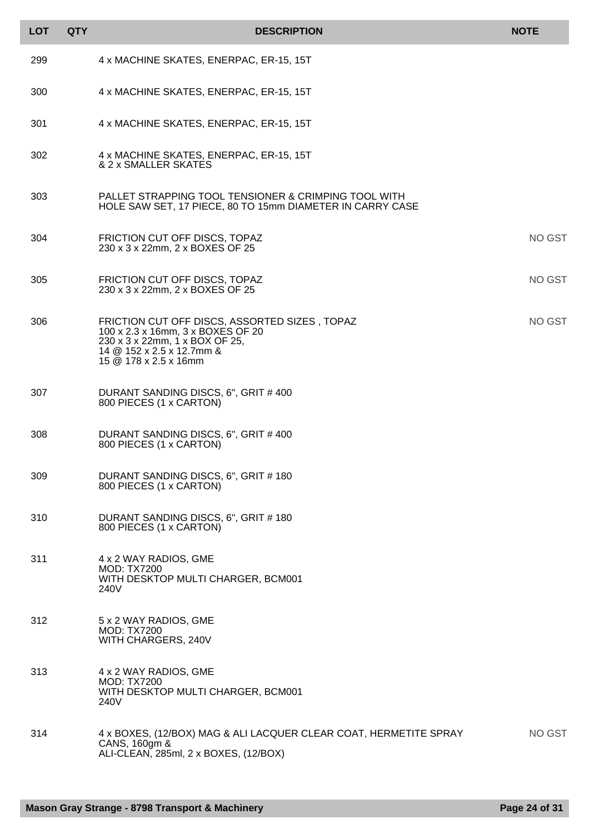| <b>LOT</b> | <b>QTY</b> | <b>DESCRIPTION</b>                                                                                                                                                         | <b>NOTE</b>   |
|------------|------------|----------------------------------------------------------------------------------------------------------------------------------------------------------------------------|---------------|
| 299        |            | 4 x MACHINE SKATES, ENERPAC, ER-15, 15T                                                                                                                                    |               |
| 300        |            | 4 x MACHINE SKATES, ENERPAC, ER-15, 15T                                                                                                                                    |               |
| 301        |            | 4 x MACHINE SKATES, ENERPAC, ER-15, 15T                                                                                                                                    |               |
| 302        |            | 4 x MACHINE SKATES, ENERPAC, ER-15, 15T<br>& 2 x SMALLER SKATES                                                                                                            |               |
| 303        |            | PALLET STRAPPING TOOL TENSIONER & CRIMPING TOOL WITH<br>HOLE SAW SET, 17 PIECE, 80 TO 15mm DIAMETER IN CARRY CASE                                                          |               |
| 304        |            | FRICTION CUT OFF DISCS, TOPAZ<br>230 x 3 x 22mm, 2 x BOXES OF 25                                                                                                           | NO GST        |
| 305        |            | FRICTION CUT OFF DISCS, TOPAZ<br>230 x 3 x 22mm, 2 x BOXES OF 25                                                                                                           | NO GST        |
| 306        |            | FRICTION CUT OFF DISCS, ASSORTED SIZES, TOPAZ<br>100 x 2.3 x 16mm, 3 x BOXES OF 20<br>230 x 3 x 22mm, 1 x BOX OF 25,<br>14 @ 152 x 2.5 x 12.7mm &<br>15 @ 178 x 2.5 x 16mm | <b>NO GST</b> |
| 307        |            | DURANT SANDING DISCS, 6", GRIT # 400<br>800 PIECES (1 x CARTON)                                                                                                            |               |
| 308        |            | DURANT SANDING DISCS, 6", GRIT # 400<br>800 PIECES (1 x CARTON)                                                                                                            |               |
| 309        |            | DURANT SANDING DISCS, 6", GRIT # 180<br>800 PIECES (1 x CARTON)                                                                                                            |               |
| 310        |            | DURANT SANDING DISCS, 6", GRIT # 180<br>800 PIECES (1 x CARTON)                                                                                                            |               |
| 311        |            | 4 x 2 WAY RADIOS, GME<br><b>MOD: TX7200</b><br>WITH DESKTOP MULTI CHARGER, BCM001<br>240V                                                                                  |               |
| 312        |            | 5 x 2 WAY RADIOS, GME<br><b>MOD: TX7200</b><br>WITH CHARGERS, 240V                                                                                                         |               |
| 313        |            | 4 x 2 WAY RADIOS, GME<br><b>MOD: TX7200</b><br>WITH DESKTOP MULTI CHARGER, BCM001<br>240V                                                                                  |               |
| 314        |            | 4 x BOXES, (12/BOX) MAG & ALI LACQUER CLEAR COAT, HERMETITE SPRAY<br>CANS, 160gm &<br>ALI-CLEAN, 285ml, 2 x BOXES, (12/BOX)                                                | NO GST        |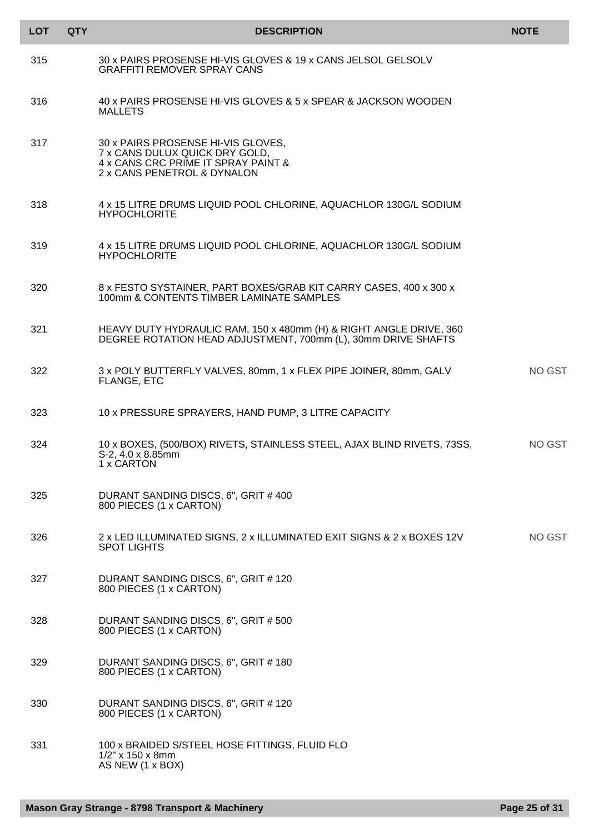| <b>LOT</b> | <b>QTY</b> | <b>DESCRIPTION</b>                                                                                                                         | <b>NOTE</b> |
|------------|------------|--------------------------------------------------------------------------------------------------------------------------------------------|-------------|
| 315        |            | 30 x PAIRS PROSENSE HI-VIS GLOVES & 19 x CANS JELSOL GELSOLV<br><b>GRAFFITI REMOVER SPRAY CANS</b>                                         |             |
| 316        |            | 40 x PAIRS PROSENSE HI-VIS GLOVES & 5 x SPEAR & JACKSON WOODEN<br><b>MALLETS</b>                                                           |             |
| 317        |            | 30 x PAIRS PROSENSE HI-VIS GLOVES,<br>7 x CANS DULUX QUICK DRY GOLD,<br>4 x CANS CRC PRIME IT SPRAY PAINT &<br>2 x CANS PENETROL & DYNALON |             |
| 318        |            | 4 x 15 LITRE DRUMS LIQUID POOL CHLORINE, AQUACHLOR 130G/L SODIUM<br><b>HYPOCHLORITE</b>                                                    |             |
| 319        |            | 4 x 15 LITRE DRUMS LIQUID POOL CHLORINE, AQUACHLOR 130G/L SODIUM<br><b>HYPOCHLORITE</b>                                                    |             |
| 320        |            | 8 x FESTO SYSTAINER, PART BOXES/GRAB KIT CARRY CASES, 400 x 300 x<br>100mm & CONTENTS TIMBER LAMINATE SAMPLES                              |             |
| 321        |            | HEAVY DUTY HYDRAULIC RAM, 150 x 480mm (H) & RIGHT ANGLE DRIVE, 360<br>DEGREE ROTATION HEAD ADJUSTMENT, 700mm (L), 30mm DRIVE SHAFTS        |             |
| 322        |            | 3 x POLY BUTTERFLY VALVES, 80mm, 1 x FLEX PIPE JOINER, 80mm, GALV<br>FLANGE, ETC                                                           | NO GST      |
| 323        |            | 10 x PRESSURE SPRAYERS, HAND PUMP, 3 LITRE CAPACITY                                                                                        |             |
| 324        |            | 10 x BOXES, (500/BOX) RIVETS, STAINLESS STEEL, AJAX BLIND RIVETS, 73SS,<br>$S-2$ , 4.0 x 8.85mm<br>1 x CARTON                              | NO GST      |
| 325        |            | DURANT SANDING DISCS, 6", GRIT # 400<br>800 PIECES (1 x CARTON)                                                                            |             |
| 326        |            | 2 x LED ILLUMINATED SIGNS, 2 x ILLUMINATED EXIT SIGNS & 2 x BOXES 12V<br><b>SPOT LIGHTS</b>                                                | NO GST      |
| 327        |            | DURANT SANDING DISCS, 6", GRIT # 120<br>800 PIECES (1 x CARTON)                                                                            |             |
| 328        |            | DURANT SANDING DISCS, 6", GRIT # 500<br>800 PIECES (1 x CARTON)                                                                            |             |
| 329        |            | DURANT SANDING DISCS, 6", GRIT # 180<br>800 PIECES (1 x CARTON)                                                                            |             |
| 330        |            | DURANT SANDING DISCS, 6", GRIT # 120<br>800 PIECES (1 x CARTON)                                                                            |             |
| 331        |            | 100 x BRAIDED S/STEEL HOSE FITTINGS, FLUID FLO<br>$1/2$ " x 150 x 8mm<br>AS NEW (1 x BOX)                                                  |             |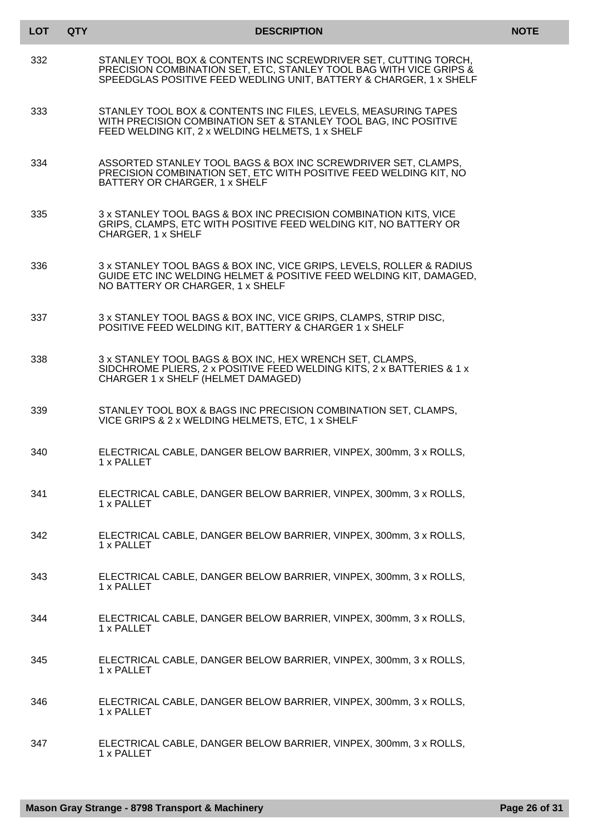| <b>LOT</b> | <b>QTY</b> | <b>DESCRIPTION</b>                                                                                                                                                                                          | <b>NOTE</b> |
|------------|------------|-------------------------------------------------------------------------------------------------------------------------------------------------------------------------------------------------------------|-------------|
| 332        |            | STANLEY TOOL BOX & CONTENTS INC SCREWDRIVER SET, CUTTING TORCH,<br>PRECISION COMBINATION SET, ETC, STANLEY TOOL BAG WITH VICE GRIPS &<br>SPEEDGLAS POSITIVE FEED WEDLING UNIT, BATTERY & CHARGER, 1 x SHELF |             |
| 333        |            | STANLEY TOOL BOX & CONTENTS INC FILES, LEVELS, MEASURING TAPES<br>WITH PRECISION COMBINATION SET & STANLEY TOOL BAG, INC POSITIVE<br>FEED WELDING KIT, 2 x WELDING HELMETS, 1 x SHELF                       |             |
| 334        |            | ASSORTED STANLEY TOOL BAGS & BOX INC SCREWDRIVER SET, CLAMPS,<br>PRECISION COMBINATION SET, ETC WITH POSITIVE FEED WELDING KIT, NO<br>BATTERY OR CHARGER, 1 x SHELF                                         |             |
| 335        |            | 3 x STANLEY TOOL BAGS & BOX INC PRECISION COMBINATION KITS, VICE<br>GRIPS, CLAMPS, ETC WITH POSITIVE FEED WELDING KIT, NO BATTERY OR<br>CHARGER, 1 x SHELF                                                  |             |
| 336        |            | 3 x STANLEY TOOL BAGS & BOX INC, VICE GRIPS, LEVELS, ROLLER & RADIUS<br>GUIDE ETC INC WELDING HELMET & POSITIVE FEED WELDING KIT, DAMAGED,<br>NO BATTERY OR CHARGER, 1 x SHELF                              |             |
| 337        |            | 3 x STANLEY TOOL BAGS & BOX INC, VICE GRIPS, CLAMPS, STRIP DISC,<br>POSITIVE FEED WELDING KIT, BATTERY & CHARGER 1 x SHELF                                                                                  |             |
| 338        |            | 3 x STANLEY TOOL BAGS & BOX INC, HEX WRENCH SET, CLAMPS,<br>SIDCHROME PLIERS, 2 x POSITIVE FEED WELDING KITS, 2 x BATTERIES & 1 x<br>CHARGER 1 x SHELF (HELMET DAMAGED)                                     |             |
| 339        |            | STANLEY TOOL BOX & BAGS INC PRECISION COMBINATION SET, CLAMPS,<br>VICE GRIPS & 2 x WELDING HELMETS, ETC, 1 x SHELF                                                                                          |             |
| 340        |            | ELECTRICAL CABLE, DANGER BELOW BARRIER, VINPEX, 300mm, 3 x ROLLS,<br>1 x PALLET                                                                                                                             |             |
| 341        |            | ELECTRICAL CABLE, DANGER BELOW BARRIER, VINPEX, 300mm, 3 x ROLLS,<br>1 x PALLET                                                                                                                             |             |
| 342        |            | ELECTRICAL CABLE, DANGER BELOW BARRIER, VINPEX, 300mm, 3 x ROLLS,<br>1 x PALLET                                                                                                                             |             |
| 343        |            | ELECTRICAL CABLE, DANGER BELOW BARRIER, VINPEX, 300mm, 3 x ROLLS,<br>1 x PALLET                                                                                                                             |             |
| 344        |            | ELECTRICAL CABLE, DANGER BELOW BARRIER, VINPEX, 300mm, 3 x ROLLS,<br>1 x PALLET                                                                                                                             |             |
| 345        |            | ELECTRICAL CABLE, DANGER BELOW BARRIER, VINPEX, 300mm, 3 x ROLLS,<br>1 x PALLET                                                                                                                             |             |
| 346        |            | ELECTRICAL CABLE, DANGER BELOW BARRIER, VINPEX, 300mm, 3 x ROLLS,<br>1 x PALLET                                                                                                                             |             |
| 347        |            | ELECTRICAL CABLE, DANGER BELOW BARRIER, VINPEX, 300mm, 3 x ROLLS,<br>1 x PALLET                                                                                                                             |             |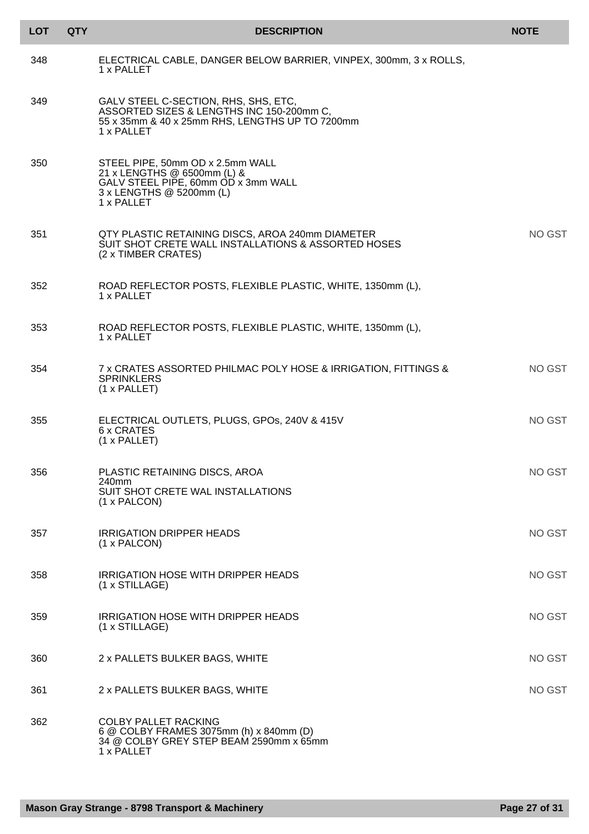| <b>LOT</b> | <b>QTY</b> | <b>DESCRIPTION</b>                                                                                                                                 | <b>NOTE</b> |
|------------|------------|----------------------------------------------------------------------------------------------------------------------------------------------------|-------------|
| 348        |            | ELECTRICAL CABLE, DANGER BELOW BARRIER, VINPEX, 300mm, 3 x ROLLS,<br>1 x PALLET                                                                    |             |
| 349        |            | GALV STEEL C-SECTION, RHS, SHS, ETC,<br>ASSORTED SIZES & LENGTHS INC 150-200mm C,<br>55 x 35mm & 40 x 25mm RHS, LENGTHS UP TO 7200mm<br>1 x PALLET |             |
| 350        |            | STEEL PIPE, 50mm OD x 2.5mm WALL<br>21 x LENGTHS @ 6500mm (L) &<br>GALV STEEL PIPE, 60mm OD x 3mm WALL<br>3 x LENGTHS @ 5200mm (L)<br>1 x PALLET   |             |
| 351        |            | QTY PLASTIC RETAINING DISCS, AROA 240mm DIAMETER<br>SUIT SHOT CRETE WALL INSTALLATIONS & ASSORTED HOSES<br>(2 x TIMBER CRATES)                     | NO GST      |
| 352        |            | ROAD REFLECTOR POSTS, FLEXIBLE PLASTIC, WHITE, 1350mm (L),<br>1 x PALLET                                                                           |             |
| 353        |            | ROAD REFLECTOR POSTS, FLEXIBLE PLASTIC, WHITE, 1350mm (L),<br>1 x PALLET                                                                           |             |
| 354        |            | 7 x CRATES ASSORTED PHILMAC POLY HOSE & IRRIGATION, FITTINGS &<br><b>SPRINKLERS</b><br>(1 x PALLET)                                                | NO GST      |
| 355        |            | ELECTRICAL OUTLETS, PLUGS, GPOS, 240V & 415V<br>6 x CRATES<br>(1 x PALLET)                                                                         | NO GST      |
| 356        |            | PLASTIC RETAINING DISCS, AROA<br>240mm<br>SUIT SHOT CRETE WAL INSTALLATIONS<br>(1 x PALCON)                                                        | NO GST      |
| 357        |            | <b>IRRIGATION DRIPPER HEADS</b><br>(1 x PALCON)                                                                                                    | NO GST      |
| 358        |            | <b>IRRIGATION HOSE WITH DRIPPER HEADS</b><br>(1 x STILLAGE)                                                                                        | NO GST      |
| 359        |            | <b>IRRIGATION HOSE WITH DRIPPER HEADS</b><br>(1 x STILLAGE)                                                                                        | NO GST      |
| 360        |            | 2 x PALLETS BULKER BAGS, WHITE                                                                                                                     | NO GST      |
| 361        |            | 2 x PALLETS BULKER BAGS, WHITE                                                                                                                     | NO GST      |
| 362        |            | <b>COLBY PALLET RACKING</b><br>6 @ COLBY FRAMES 3075mm (h) x 840mm (D)<br>34 @ COLBY GREY STEP BEAM 2590mm x 65mm<br>1 x PALLET                    |             |

I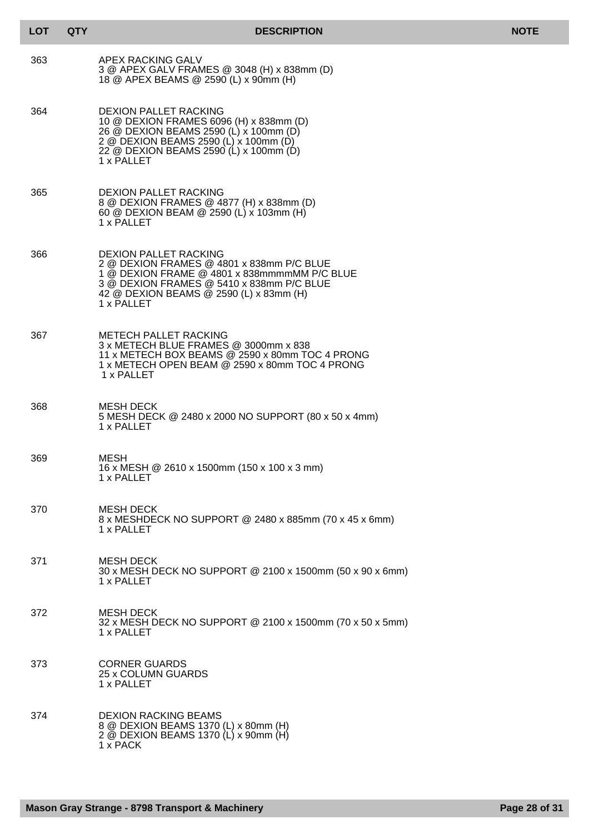| <b>LOT</b> | <b>QTY</b> | <b>DESCRIPTION</b>                                                                                                                                                                                                              | <b>NOTE</b> |
|------------|------------|---------------------------------------------------------------------------------------------------------------------------------------------------------------------------------------------------------------------------------|-------------|
| 363        |            | APEX RACKING GALV<br>3 @ APEX GALV FRAMES @ 3048 (H) x 838mm (D)<br>18 @ APEX BEAMS @ 2590 (L) x 90mm (H)                                                                                                                       |             |
| 364        |            | <b>DEXION PALLET RACKING</b><br>10 @ DEXION FRAMES 6096 (H) x 838mm (D)<br>26 @ DEXION BEAMS 2590 (L) x 100mm (D)<br>2 @ DEXION BEAMS 2590 (L) x 100mm (D)<br>22 @ DEXION BEAMS 2590 (L) x 100mm (D)<br>1 x PALLET              |             |
| 365        |            | <b>DEXION PALLET RACKING</b><br>8 @ DEXION FRAMES @ 4877 (H) x 838mm (D)<br>60 @ DEXION BEAM @ 2590 (L) x 103mm (H)<br>1 x PALLET                                                                                               |             |
| 366        |            | <b>DEXION PALLET RACKING</b><br>2 @ DEXION FRAMES @ 4801 x 838mm P/C BLUE<br>1 @ DEXION FRAME @ 4801 x 838mmmmMM P/C BLUE<br>3 @ DEXION FRAMES @ 5410 x 838mm P/C BLUE<br>42 @ DEXION BEAMS @ 2590 (L) x 83mm (H)<br>1 x PALLET |             |
| 367        |            | <b>METECH PALLET RACKING</b><br>3 x METECH BLUE FRAMES @ 3000mm x 838<br>11 x METECH BOX BEAMS @ 2590 x 80mm TOC 4 PRONG<br>1 x METECH OPEN BEAM @ 2590 x 80mm TOC 4 PRONG<br>1 x PALLET                                        |             |
| 368        |            | <b>MESH DECK</b><br>5 MESH DECK @ 2480 x 2000 NO SUPPORT (80 x 50 x 4mm)<br>1 x PALLET                                                                                                                                          |             |
| 369        |            | MESH<br>16 x MESH @ 2610 x 1500mm (150 x 100 x 3 mm)<br>1 x PALLET                                                                                                                                                              |             |
| 370        |            | <b>MESH DECK</b><br>8 x MESHDECK NO SUPPORT @ 2480 x 885mm (70 x 45 x 6mm)<br>1 x PALLET                                                                                                                                        |             |
| 371        |            | <b>MESH DECK</b><br>30 x MESH DECK NO SUPPORT @ 2100 x 1500mm (50 x 90 x 6mm)<br>1 x PALLET                                                                                                                                     |             |
| 372        |            | <b>MESH DECK</b><br>32 x MESH DECK NO SUPPORT @ 2100 x 1500mm (70 x 50 x 5mm)<br>1 x PALLET                                                                                                                                     |             |
| 373        |            | <b>CORNER GUARDS</b><br>25 x COLUMN GUARDS<br>1 x PALLET                                                                                                                                                                        |             |
| 374        |            | <b>DEXION RACKING BEAMS</b><br>8 @ DEXION BEAMS 1370 (L) x 80mm (H)<br>2 @ DEXION BEAMS 1370 (L) x 90mm (H)<br>1 x PACK                                                                                                         |             |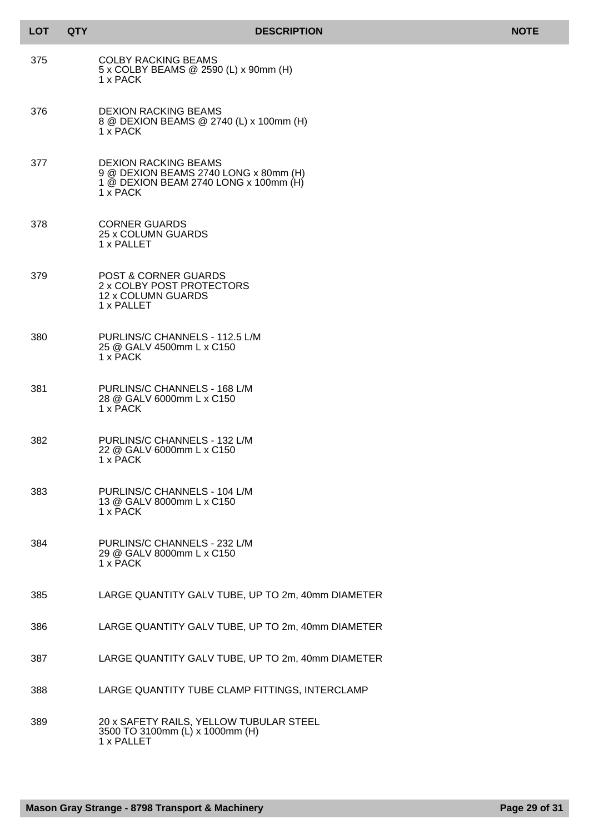| <b>LOT</b> | <b>QTY</b> | <b>DESCRIPTION</b>                                                                                                        | <b>NOTE</b> |
|------------|------------|---------------------------------------------------------------------------------------------------------------------------|-------------|
| 375        |            | <b>COLBY RACKING BEAMS</b><br>5 x COLBY BEAMS @ 2590 (L) x 90mm (H)<br>1 x PACK                                           |             |
| 376        |            | <b>DEXION RACKING BEAMS</b><br>8 @ DEXION BEAMS @ 2740 (L) x 100mm (H)<br>1 x PACK                                        |             |
| 377        |            | <b>DEXION RACKING BEAMS</b><br>9 @ DEXION BEAMS 2740 LONG x 80mm (H)<br>1 @ DEXION BEAM 2740 LONG x 100mm (H)<br>1 x PACK |             |
| 378        |            | <b>CORNER GUARDS</b><br>25 x COLUMN GUARDS<br>1 x PALLET                                                                  |             |
| 379        |            | <b>POST &amp; CORNER GUARDS</b><br>2 x COLBY POST PROTECTORS<br>12 x COLUMN GUARDS<br>1 x PALLET                          |             |
| 380        |            | PURLINS/C CHANNELS - 112.5 L/M<br>25 @ GALV 4500mm L x C150<br>1 x PACK                                                   |             |
| 381        |            | PURLINS/C CHANNELS - 168 L/M<br>28 @ GALV 6000mm L x C150<br>1 x PACK                                                     |             |
| 382        |            | PURLINS/C CHANNELS - 132 L/M<br>22 @ GALV 6000mm L x C150<br>1 x PACK                                                     |             |
| 383        |            | PURLINS/C CHANNELS - 104 L/M<br>13 @ GALV 8000mm L x C150<br>1 x PACK                                                     |             |
| 384        |            | PURLINS/C CHANNELS - 232 L/M<br>29 @ GALV 8000mm L x C150<br>1 x PACK                                                     |             |
| 385        |            | LARGE QUANTITY GALV TUBE, UP TO 2m, 40mm DIAMETER                                                                         |             |
| 386        |            | LARGE QUANTITY GALV TUBE, UP TO 2m, 40mm DIAMETER                                                                         |             |
| 387        |            | LARGE QUANTITY GALV TUBE, UP TO 2m, 40mm DIAMETER                                                                         |             |
| 388        |            | LARGE QUANTITY TUBE CLAMP FITTINGS, INTERCLAMP                                                                            |             |
| 389        |            | 20 x SAFETY RAILS, YELLOW TUBULAR STEEL<br>3500 TO 3100mm (L) x 1000mm (H)<br>1 x PALLET                                  |             |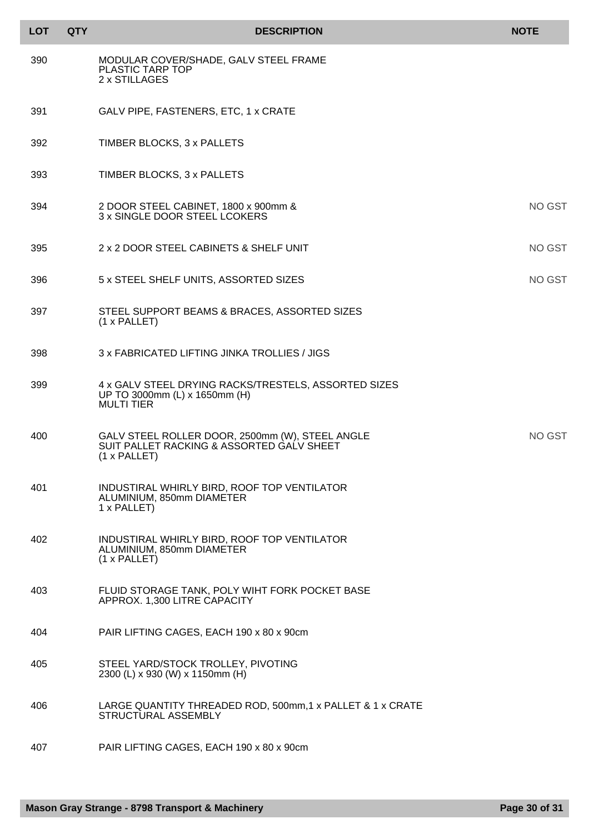| <b>LOT</b> | <b>QTY</b> | <b>DESCRIPTION</b>                                                                                           | <b>NOTE</b> |
|------------|------------|--------------------------------------------------------------------------------------------------------------|-------------|
| 390        |            | MODULAR COVER/SHADE, GALV STEEL FRAME<br>PLASTIC TARP TOP<br>2 x STILLAGES                                   |             |
| 391        |            | GALV PIPE, FASTENERS, ETC, 1 x CRATE                                                                         |             |
| 392        |            | TIMBER BLOCKS, 3 x PALLETS                                                                                   |             |
| 393        |            | TIMBER BLOCKS, 3 x PALLETS                                                                                   |             |
| 394        |            | 2 DOOR STEEL CABINET, 1800 x 900mm &<br>3 x SINGLE DOOR STEEL LCOKERS                                        | NO GST      |
| 395        |            | 2 x 2 DOOR STEEL CABINETS & SHELF UNIT                                                                       | NO GST      |
| 396        |            | 5 x STEEL SHELF UNITS, ASSORTED SIZES                                                                        | NO GST      |
| 397        |            | STEEL SUPPORT BEAMS & BRACES, ASSORTED SIZES<br>(1 x PALLET)                                                 |             |
| 398        |            | 3 x FABRICATED LIFTING JINKA TROLLIES / JIGS                                                                 |             |
| 399        |            | 4 x GALV STEEL DRYING RACKS/TRESTELS, ASSORTED SIZES<br>UP TO 3000mm (L) x 1650mm (H)<br><b>MULTI TIER</b>   |             |
| 400        |            | GALV STEEL ROLLER DOOR, 2500mm (W), STEEL ANGLE<br>SUIT PALLET RACKING & ASSORTED GALV SHEET<br>(1 x PALLET) | NO GST      |
| 401        |            | INDUSTIRAL WHIRLY BIRD, ROOF TOP VENTILATOR<br>ALUMINIUM, 850mm DIAMETER<br>1 x PALLET)                      |             |
| 402        |            | INDUSTIRAL WHIRLY BIRD, ROOF TOP VENTILATOR<br>ALUMINIUM, 850mm DIAMETER<br>(1 x PALLET)                     |             |
| 403        |            | FLUID STORAGE TANK, POLY WIHT FORK POCKET BASE<br>APPROX. 1,300 LITRE CAPACITY                               |             |
| 404        |            | PAIR LIFTING CAGES, EACH 190 x 80 x 90cm                                                                     |             |
| 405        |            | STEEL YARD/STOCK TROLLEY, PIVOTING<br>2300 (L) x 930 (W) x 1150mm (H)                                        |             |
| 406        |            | LARGE QUANTITY THREADED ROD, 500mm,1 x PALLET & 1 x CRATE<br>STRUCTURAL ASSEMBLY                             |             |
| 407        |            | PAIR LIFTING CAGES, EACH 190 x 80 x 90cm                                                                     |             |